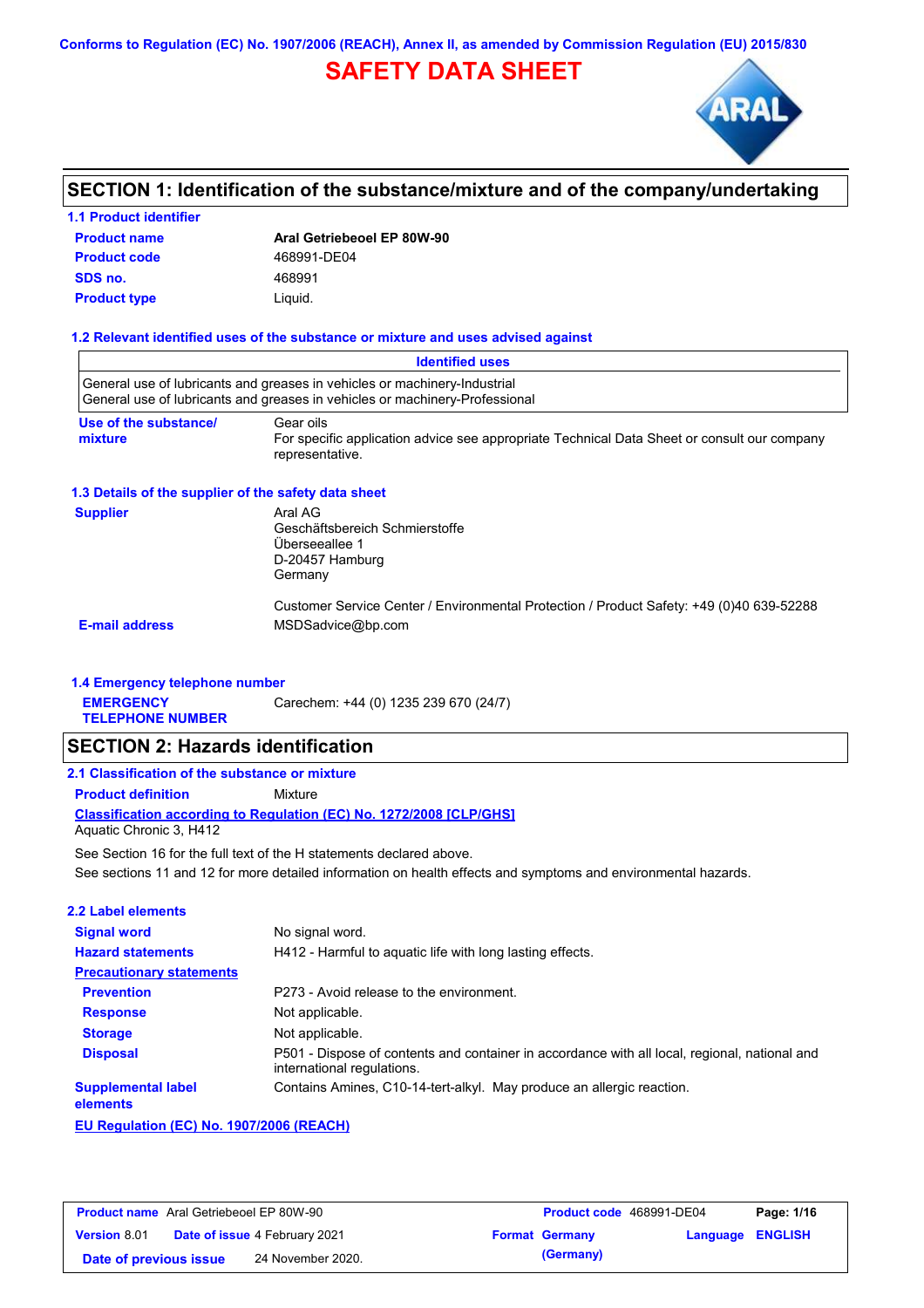**Conforms to Regulation (EC) No. 1907/2006 (REACH), Annex II, as amended by Commission Regulation (EU) 2015/830**

# **SAFETY DATA SHEET**



### **SECTION 1: Identification of the substance/mixture and of the company/undertaking**

### **Product name 1.1 Product identifier Product type Liquid. Product code 468991-DE04 SDS no.** 468991

**Aral Getriebeoel EP 80W-90**

#### **1.2 Relevant identified uses of the substance or mixture and uses advised against**

|                                                      | <b>Identified uses</b>                                                                                                                                   |
|------------------------------------------------------|----------------------------------------------------------------------------------------------------------------------------------------------------------|
|                                                      | General use of lubricants and greases in vehicles or machinery-Industrial<br>General use of lubricants and greases in vehicles or machinery-Professional |
| Use of the substance/<br>mixture                     | Gear oils<br>For specific application advice see appropriate Technical Data Sheet or consult our company<br>representative.                              |
| 1.3 Details of the supplier of the safety data sheet |                                                                                                                                                          |
| <b>Supplier</b>                                      | Aral AG<br>Geschäftsbereich Schmierstoffe<br>Überseeallee 1<br>D-20457 Hamburg<br>Germany                                                                |
| <b>E-mail address</b>                                | Customer Service Center / Environmental Protection / Product Safety: +49 (0)40 639-52288<br>MSDSadvice@bp.com                                            |

#### **1.4 Emergency telephone number**

**EMERGENCY**  Carechem: +44 (0) 1235 239 670 (24/7)

**TELEPHONE NUMBER**

### **SECTION 2: Hazards identification**

#### **2.1 Classification of the substance or mixture**

**Product definition** Mixture

**Classification according to Regulation (EC) No. 1272/2008 [CLP/GHS]** Aquatic Chronic 3, H412

See sections 11 and 12 for more detailed information on health effects and symptoms and environmental hazards. See Section 16 for the full text of the H statements declared above.

| 2.2 Label elements                    |                                                                                                                             |  |  |
|---------------------------------------|-----------------------------------------------------------------------------------------------------------------------------|--|--|
| <b>Signal word</b>                    | No signal word.                                                                                                             |  |  |
| <b>Hazard statements</b>              | H412 - Harmful to aguatic life with long lasting effects.                                                                   |  |  |
| <b>Precautionary statements</b>       |                                                                                                                             |  |  |
| <b>Prevention</b>                     | P273 - Avoid release to the environment.                                                                                    |  |  |
| <b>Response</b>                       | Not applicable.                                                                                                             |  |  |
| <b>Storage</b>                        | Not applicable.                                                                                                             |  |  |
| <b>Disposal</b>                       | P501 - Dispose of contents and container in accordance with all local, regional, national and<br>international regulations. |  |  |
| <b>Supplemental label</b><br>elements | Contains Amines, C10-14-tert-alkyl. May produce an allergic reaction.                                                       |  |  |
|                                       |                                                                                                                             |  |  |

**EU Regulation (EC) No. 1907/2006 (REACH)**

| <b>Product name</b> Aral Getriebeoel EP 80W-90 |  | <b>Product code</b> 468991-DE04      |  | Page: 1/16            |                  |  |
|------------------------------------------------|--|--------------------------------------|--|-----------------------|------------------|--|
| <b>Version 8.01</b>                            |  | <b>Date of issue 4 February 2021</b> |  | <b>Format Germany</b> | Language ENGLISH |  |
| Date of previous issue                         |  | 24 November 2020.                    |  | (Germany)             |                  |  |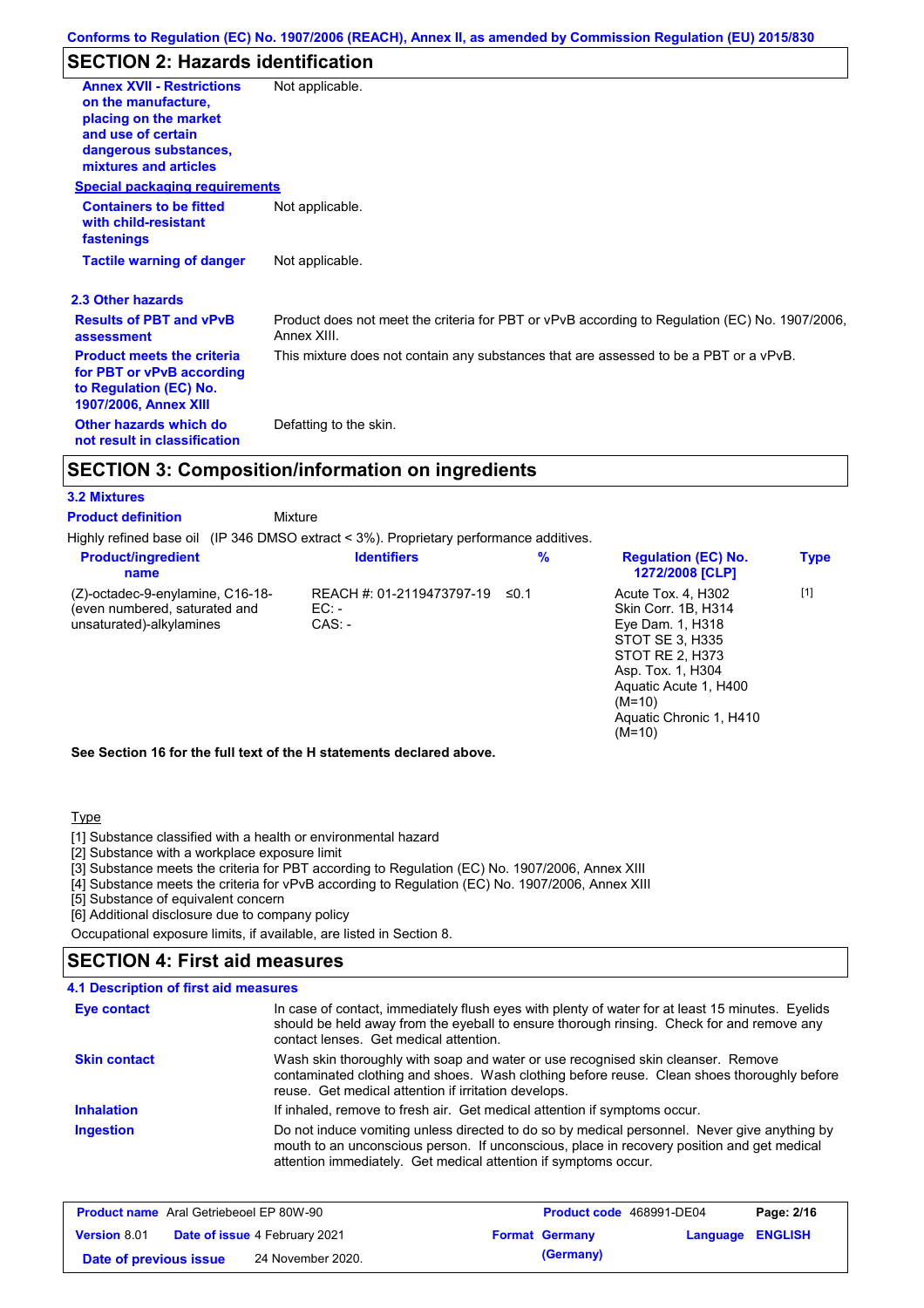# **SECTION 2: Hazards identification**

| <b>Annex XVII - Restrictions</b><br>on the manufacture,                                                                  | Not applicable.                                                                                               |
|--------------------------------------------------------------------------------------------------------------------------|---------------------------------------------------------------------------------------------------------------|
| placing on the market                                                                                                    |                                                                                                               |
| and use of certain<br>dangerous substances,                                                                              |                                                                                                               |
| mixtures and articles                                                                                                    |                                                                                                               |
| <b>Special packaging requirements</b>                                                                                    |                                                                                                               |
| <b>Containers to be fitted</b><br>with child-resistant<br>fastenings                                                     | Not applicable.                                                                                               |
| <b>Tactile warning of danger</b>                                                                                         | Not applicable.                                                                                               |
| 2.3 Other hazards                                                                                                        |                                                                                                               |
| <b>Results of PBT and vPvB</b><br>assessment                                                                             | Product does not meet the criteria for PBT or vPvB according to Regulation (EC) No. 1907/2006,<br>Annex XIII. |
| <b>Product meets the criteria</b><br>for PBT or vPvB according<br>to Regulation (EC) No.<br><b>1907/2006, Annex XIII</b> | This mixture does not contain any substances that are assessed to be a PBT or a vPvB.                         |
| Other hazards which do<br>not result in classification                                                                   | Defatting to the skin.                                                                                        |

### **SECTION 3: Composition/information on ingredients**

#### **3.2 Mixtures**

**Product definition**

Mixture

Highly refined base oil (IP 346 DMSO extract < 3%). Proprietary performance additives.

| <b>Product/ingredient</b><br>name                                                             | <b>Identifiers</b>                             | $\frac{9}{6}$ | <b>Regulation (EC) No.</b><br><b>1272/2008 [CLP]</b>                                                                                                                                                 | <b>Type</b> |  |
|-----------------------------------------------------------------------------------------------|------------------------------------------------|---------------|------------------------------------------------------------------------------------------------------------------------------------------------------------------------------------------------------|-------------|--|
| (Z)-octadec-9-enylamine, C16-18-<br>(even numbered, saturated and<br>unsaturated)-alkylamines | REACH #: 01-2119473797-19<br>$EC: -$<br>CAS: - | $\leq$ 0.1    | Acute Tox. 4, H302<br>Skin Corr. 1B. H314<br>Eye Dam. 1, H318<br>STOT SE 3, H335<br>STOT RE 2, H373<br>Asp. Tox. 1, H304<br>Aguatic Acute 1, H400<br>$(M=10)$<br>Aquatic Chronic 1, H410<br>$(M=10)$ | $[1]$       |  |
| See Section 16 for the full text of the H statements declared above.                          |                                                |               |                                                                                                                                                                                                      |             |  |

#### **Type**

[1] Substance classified with a health or environmental hazard

- [2] Substance with a workplace exposure limit
- [3] Substance meets the criteria for PBT according to Regulation (EC) No. 1907/2006, Annex XIII
- [4] Substance meets the criteria for vPvB according to Regulation (EC) No. 1907/2006, Annex XIII
- [5] Substance of equivalent concern
- [6] Additional disclosure due to company policy

Occupational exposure limits, if available, are listed in Section 8.

### **SECTION 4: First aid measures**

| 4.1 Description of first aid measures |                                                                                                                                                                                                                                                               |
|---------------------------------------|---------------------------------------------------------------------------------------------------------------------------------------------------------------------------------------------------------------------------------------------------------------|
| <b>Eye contact</b>                    | In case of contact, immediately flush eyes with plenty of water for at least 15 minutes. Eyelids<br>should be held away from the eyeball to ensure thorough rinsing. Check for and remove any<br>contact lenses. Get medical attention.                       |
| <b>Skin contact</b>                   | Wash skin thoroughly with soap and water or use recognised skin cleanser. Remove<br>contaminated clothing and shoes. Wash clothing before reuse. Clean shoes thoroughly before<br>reuse. Get medical attention if irritation develops.                        |
| <b>Inhalation</b>                     | If inhaled, remove to fresh air. Get medical attention if symptoms occur.                                                                                                                                                                                     |
| <b>Ingestion</b>                      | Do not induce vomiting unless directed to do so by medical personnel. Never give anything by<br>mouth to an unconscious person. If unconscious, place in recovery position and get medical<br>attention immediately. Get medical attention if symptoms occur. |

| <b>Product name</b> Aral Getriebeoel EP 80W-90 |                                      | <b>Product code</b> 468991-DE04 |                         | Page: 2/16 |
|------------------------------------------------|--------------------------------------|---------------------------------|-------------------------|------------|
| <b>Version 8.01</b>                            | <b>Date of issue 4 February 2021</b> | <b>Format Germany</b>           | <b>Language ENGLISH</b> |            |
| Date of previous issue                         | 24 November 2020.                    | (Germany)                       |                         |            |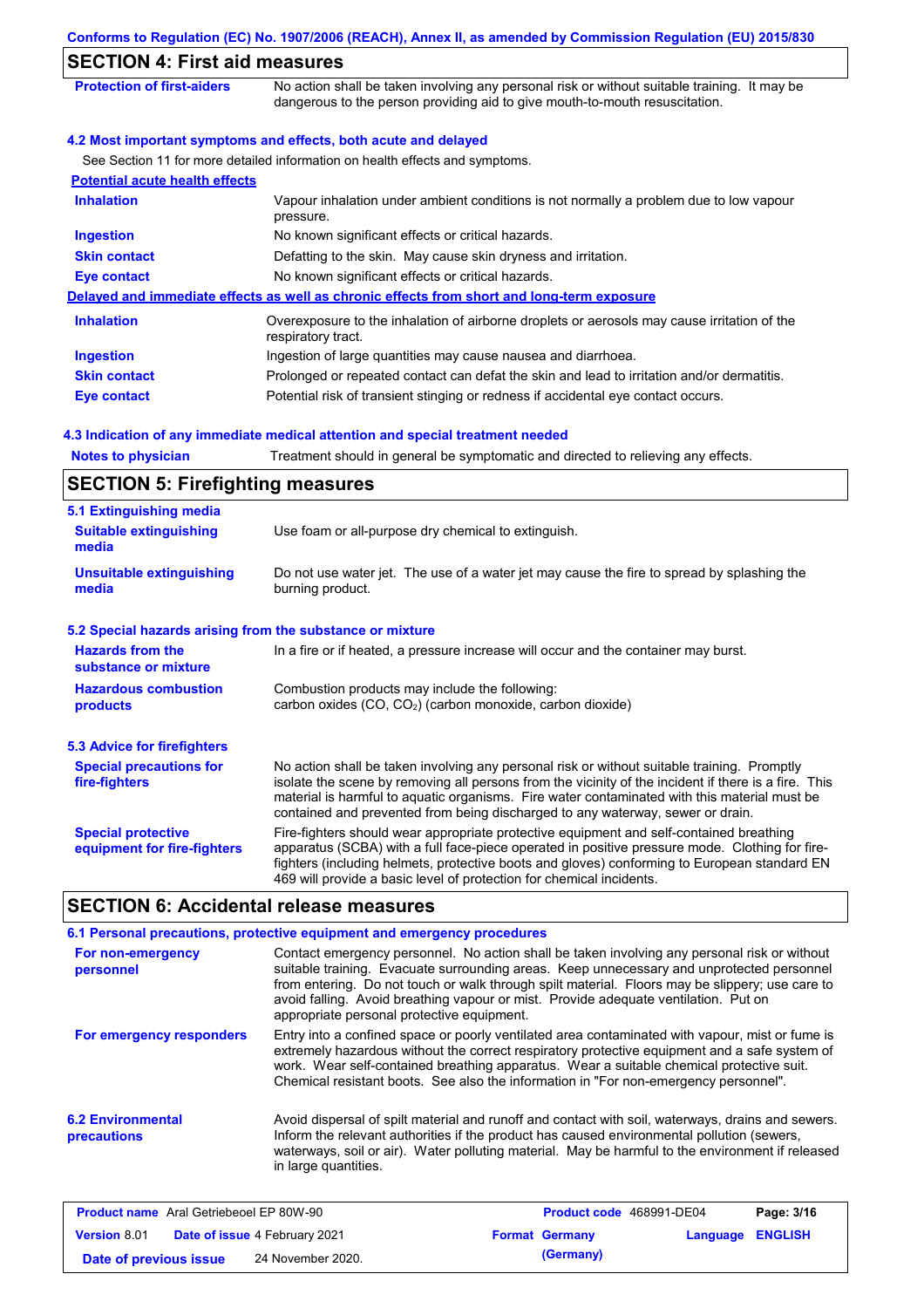| Conforms to Regulation (EC) No. 1907/2006 (REACH), Annex II, as amended by Commission Regulation (EU) 2015/830                                                              |
|-----------------------------------------------------------------------------------------------------------------------------------------------------------------------------|
| <b>SECTION 4: First aid measures</b>                                                                                                                                        |
| No action shall be taken involving any personal risk or without suitable training. It may be<br>dangerous to the person providing aid to give mouth-to-mouth resuscitation. |
| 4.2 Most important symptoms and effects, both acute and delayed                                                                                                             |
| See Section 11 for more detailed information on health effects and symptoms.                                                                                                |
|                                                                                                                                                                             |
| Vapour inhalation under ambient conditions is not normally a problem due to low vapour<br>pressure.                                                                         |
| No known significant effects or critical hazards.                                                                                                                           |
| Defatting to the skin. May cause skin dryness and irritation.                                                                                                               |
| No known significant effects or critical hazards.                                                                                                                           |
| Delayed and immediate effects as well as chronic effects from short and long-term exposure                                                                                  |
| Overexposure to the inhalation of airborne droplets or aerosols may cause irritation of the<br>respiratory tract.                                                           |
| Ingestion of large quantities may cause nausea and diarrhoea.                                                                                                               |
| Prolonged or repeated contact can defat the skin and lead to irritation and/or dermatitis.                                                                                  |
| Potential risk of transient stinging or redness if accidental eye contact occurs.                                                                                           |
|                                                                                                                                                                             |

#### **4.3 Indication of any immediate medical attention and special treatment needed**

Notes to physician Treatment should in general be symptomatic and directed to relieving any effects.

| <b>SECTION 5: Firefighting measures</b>                                                                                                                             |                                                                                                                                                                                                                                                                                                                                                                                       |  |  |
|---------------------------------------------------------------------------------------------------------------------------------------------------------------------|---------------------------------------------------------------------------------------------------------------------------------------------------------------------------------------------------------------------------------------------------------------------------------------------------------------------------------------------------------------------------------------|--|--|
| 5.1 Extinguishing media                                                                                                                                             |                                                                                                                                                                                                                                                                                                                                                                                       |  |  |
| <b>Suitable extinguishing</b><br>media                                                                                                                              | Use foam or all-purpose dry chemical to extinguish.                                                                                                                                                                                                                                                                                                                                   |  |  |
| <b>Unsuitable extinguishing</b><br>media                                                                                                                            | Do not use water jet. The use of a water jet may cause the fire to spread by splashing the<br>burning product.                                                                                                                                                                                                                                                                        |  |  |
| 5.2 Special hazards arising from the substance or mixture                                                                                                           |                                                                                                                                                                                                                                                                                                                                                                                       |  |  |
| <b>Hazards from the</b><br>substance or mixture                                                                                                                     | In a fire or if heated, a pressure increase will occur and the container may burst.                                                                                                                                                                                                                                                                                                   |  |  |
| <b>Hazardous combustion</b><br>Combustion products may include the following:<br>carbon oxides (CO, CO <sub>2</sub> ) (carbon monoxide, carbon dioxide)<br>products |                                                                                                                                                                                                                                                                                                                                                                                       |  |  |
| <b>5.3 Advice for firefighters</b>                                                                                                                                  |                                                                                                                                                                                                                                                                                                                                                                                       |  |  |
| <b>Special precautions for</b><br>fire-fighters                                                                                                                     | No action shall be taken involving any personal risk or without suitable training. Promptly<br>isolate the scene by removing all persons from the vicinity of the incident if there is a fire. This<br>material is harmful to aquatic organisms. Fire water contaminated with this material must be<br>contained and prevented from being discharged to any waterway, sewer or drain. |  |  |
| <b>Special protective</b><br>equipment for fire-fighters                                                                                                            | Fire-fighters should wear appropriate protective equipment and self-contained breathing<br>apparatus (SCBA) with a full face-piece operated in positive pressure mode. Clothing for fire-<br>fighters (including helmets, protective boots and gloves) conforming to European standard EN<br>469 will provide a basic level of protection for chemical incidents.                     |  |  |

### **SECTION 6: Accidental release measures**

|                                                | 6.1 Personal precautions, protective equipment and emergency procedures |                                                                                                                                                                                                                                                                                                                                                                                      |            |
|------------------------------------------------|-------------------------------------------------------------------------|--------------------------------------------------------------------------------------------------------------------------------------------------------------------------------------------------------------------------------------------------------------------------------------------------------------------------------------------------------------------------------------|------------|
| For non-emergency<br>personnel                 | appropriate personal protective equipment.                              | Contact emergency personnel. No action shall be taken involving any personal risk or without<br>suitable training. Evacuate surrounding areas. Keep unnecessary and unprotected personnel<br>from entering. Do not touch or walk through spilt material. Floors may be slippery; use care to<br>avoid falling. Avoid breathing vapour or mist. Provide adequate ventilation. Put on  |            |
| For emergency responders                       |                                                                         | Entry into a confined space or poorly ventilated area contaminated with vapour, mist or fume is<br>extremely hazardous without the correct respiratory protective equipment and a safe system of<br>work. Wear self-contained breathing apparatus. Wear a suitable chemical protective suit.<br>Chemical resistant boots. See also the information in "For non-emergency personnel". |            |
| <b>6.2 Environmental</b><br>precautions        | in large quantities.                                                    | Avoid dispersal of spilt material and runoff and contact with soil, waterways, drains and sewers.<br>Inform the relevant authorities if the product has caused environmental pollution (sewers,<br>waterways, soil or air). Water polluting material. May be harmful to the environment if released                                                                                  |            |
| <b>Product name</b> Aral Getriebeoel FP 80W-90 |                                                                         | <b>Product code</b> 468991-DF04                                                                                                                                                                                                                                                                                                                                                      | Page: 3/16 |

| <b>Product name</b> Aral Getriebeoel EP 80W-90 |                                      | Product code 468991-DE04 |                  | Page: 3/16 |
|------------------------------------------------|--------------------------------------|--------------------------|------------------|------------|
| <b>Version 8.01</b>                            | <b>Date of issue 4 February 2021</b> | <b>Format Germany</b>    | Language ENGLISH |            |
| Date of previous issue                         | 24 November 2020.                    | (Germany)                |                  |            |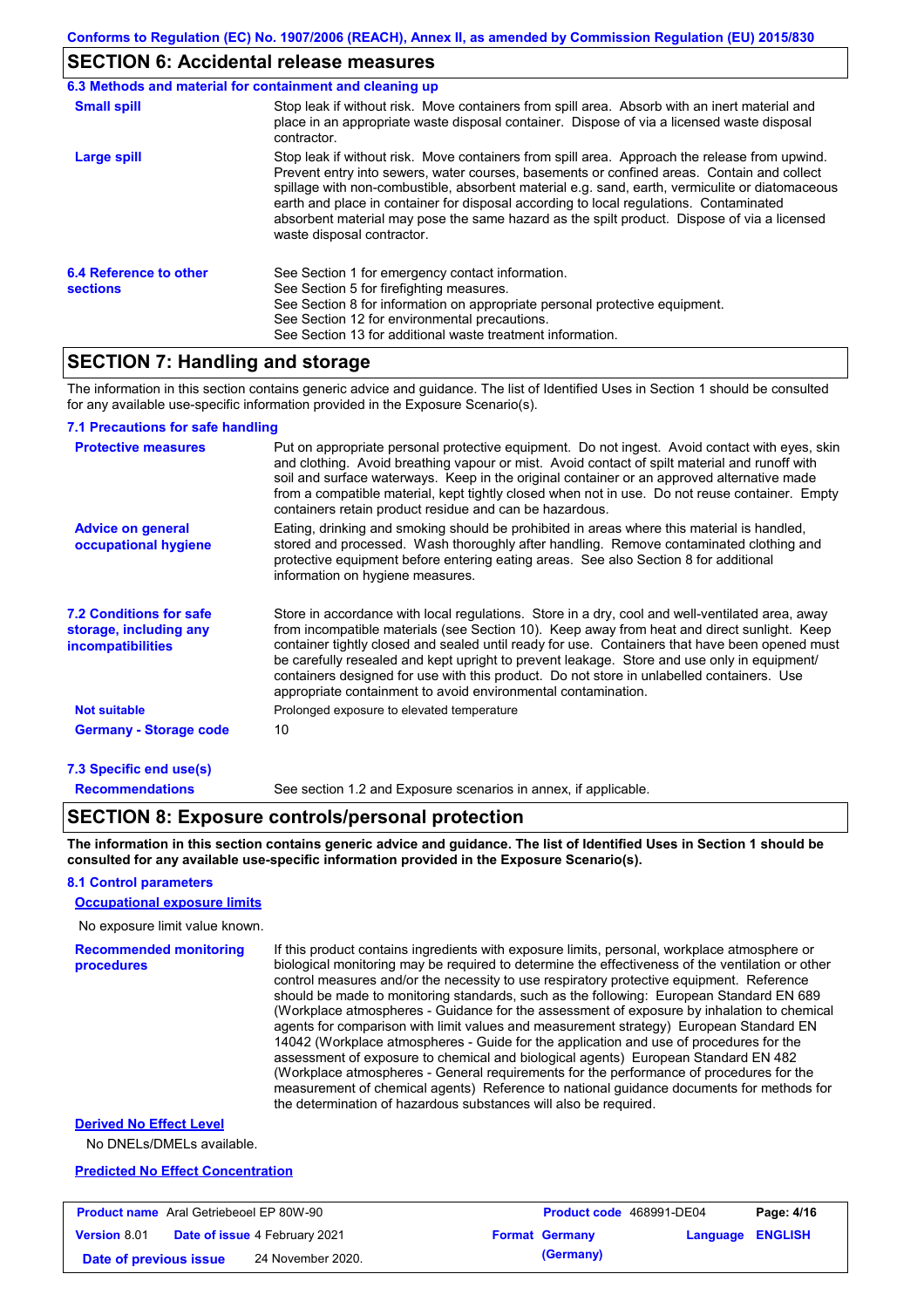### **SECTION 6: Accidental release measures**

|                                           | 6.3 Methods and material for containment and cleaning up                                                                                                                                                                                                                                                                                                                                                                                                                                                              |
|-------------------------------------------|-----------------------------------------------------------------------------------------------------------------------------------------------------------------------------------------------------------------------------------------------------------------------------------------------------------------------------------------------------------------------------------------------------------------------------------------------------------------------------------------------------------------------|
| <b>Small spill</b>                        | Stop leak if without risk. Move containers from spill area. Absorb with an inert material and<br>place in an appropriate waste disposal container. Dispose of via a licensed waste disposal<br>contractor.                                                                                                                                                                                                                                                                                                            |
| Large spill                               | Stop leak if without risk. Move containers from spill area. Approach the release from upwind.<br>Prevent entry into sewers, water courses, basements or confined areas. Contain and collect<br>spillage with non-combustible, absorbent material e.g. sand, earth, vermiculite or diatomaceous<br>earth and place in container for disposal according to local regulations. Contaminated<br>absorbent material may pose the same hazard as the spilt product. Dispose of via a licensed<br>waste disposal contractor. |
| 6.4 Reference to other<br><b>sections</b> | See Section 1 for emergency contact information.<br>See Section 5 for firefighting measures.<br>See Section 8 for information on appropriate personal protective equipment.<br>See Section 12 for environmental precautions.<br>See Section 13 for additional waste treatment information.                                                                                                                                                                                                                            |

### **SECTION 7: Handling and storage**

The information in this section contains generic advice and guidance. The list of Identified Uses in Section 1 should be consulted for any available use-specific information provided in the Exposure Scenario(s).

#### **7.1 Precautions for safe handling**

| <b>Protective measures</b>                                                           | Put on appropriate personal protective equipment. Do not ingest. Avoid contact with eyes, skin<br>and clothing. Avoid breathing vapour or mist. Avoid contact of spilt material and runoff with<br>soil and surface waterways. Keep in the original container or an approved alternative made<br>from a compatible material, kept tightly closed when not in use. Do not reuse container. Empty<br>containers retain product residue and can be hazardous.                                                                                                    |
|--------------------------------------------------------------------------------------|---------------------------------------------------------------------------------------------------------------------------------------------------------------------------------------------------------------------------------------------------------------------------------------------------------------------------------------------------------------------------------------------------------------------------------------------------------------------------------------------------------------------------------------------------------------|
| <b>Advice on general</b><br>occupational hygiene                                     | Eating, drinking and smoking should be prohibited in areas where this material is handled,<br>stored and processed. Wash thoroughly after handling. Remove contaminated clothing and<br>protective equipment before entering eating areas. See also Section 8 for additional<br>information on hygiene measures.                                                                                                                                                                                                                                              |
| <b>7.2 Conditions for safe</b><br>storage, including any<br><i>incompatibilities</i> | Store in accordance with local regulations. Store in a dry, cool and well-ventilated area, away<br>from incompatible materials (see Section 10). Keep away from heat and direct sunlight. Keep<br>container tightly closed and sealed until ready for use. Containers that have been opened must<br>be carefully resealed and kept upright to prevent leakage. Store and use only in equipment/<br>containers designed for use with this product. Do not store in unlabelled containers. Use<br>appropriate containment to avoid environmental contamination. |
| <b>Not suitable</b>                                                                  | Prolonged exposure to elevated temperature                                                                                                                                                                                                                                                                                                                                                                                                                                                                                                                    |
| <b>Germany - Storage code</b>                                                        | 10                                                                                                                                                                                                                                                                                                                                                                                                                                                                                                                                                            |
| 7.3 Specific end use(s)                                                              |                                                                                                                                                                                                                                                                                                                                                                                                                                                                                                                                                               |

#### **Recommendations**

See section 1.2 and Exposure scenarios in annex, if applicable.

#### **SECTION 8: Exposure controls/personal protection**

**The information in this section contains generic advice and guidance. The list of Identified Uses in Section 1 should be consulted for any available use-specific information provided in the Exposure Scenario(s).**

#### **8.1 Control parameters**

#### **Occupational exposure limits**

No exposure limit value known.

```
Recommended monitoring 
procedures
                                If this product contains ingredients with exposure limits, personal, workplace atmosphere or 
                                biological monitoring may be required to determine the effectiveness of the ventilation or other 
                                control measures and/or the necessity to use respiratory protective equipment. Reference 
                                should be made to monitoring standards, such as the following: European Standard EN 689 
                                (Workplace atmospheres - Guidance for the assessment of exposure by inhalation to chemical 
                                agents for comparison with limit values and measurement strategy) European Standard EN 
                                14042 (Workplace atmospheres - Guide for the application and use of procedures for the 
                                assessment of exposure to chemical and biological agents) European Standard EN 482 
                                (Workplace atmospheres - General requirements for the performance of procedures for the 
                                measurement of chemical agents) Reference to national guidance documents for methods for
```
#### **Derived No Effect Level**

No DNELs/DMELs available.

#### **Predicted No Effect Concentration**

| <b>Product name</b> Aral Getriebeoel EP 80W-90 |  | <b>Product code</b> 468991-DE04      |  | Page: 4/16            |                         |  |
|------------------------------------------------|--|--------------------------------------|--|-----------------------|-------------------------|--|
| <b>Version 8.01</b>                            |  | <b>Date of issue 4 February 2021</b> |  | <b>Format Germany</b> | <b>Language ENGLISH</b> |  |
| Date of previous issue                         |  | 24 November 2020.                    |  | (Germany)             |                         |  |

the determination of hazardous substances will also be required.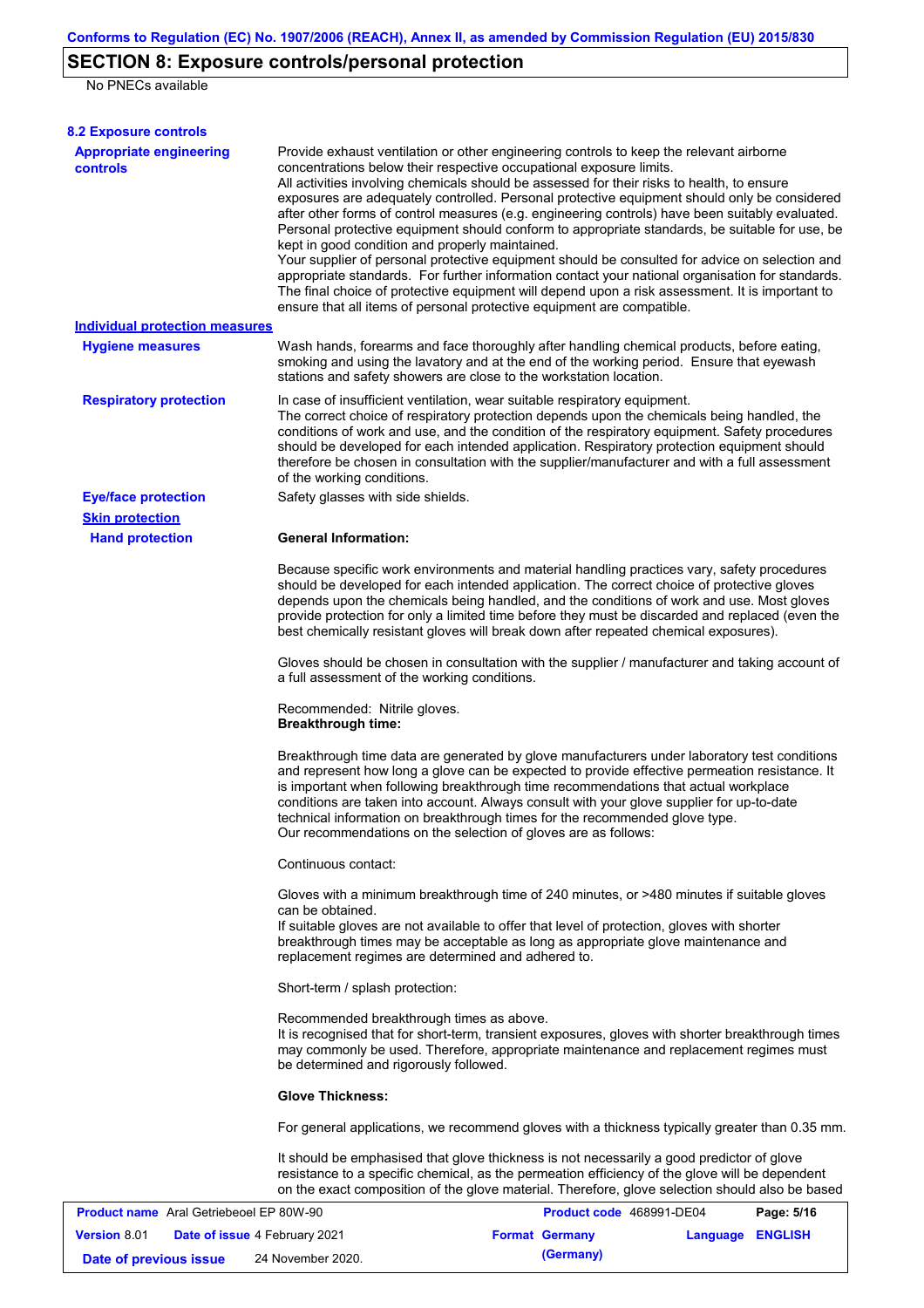# **SECTION 8: Exposure controls/personal protection**

No PNECs available

| <b>8.2 Exposure controls</b>                      |                                                                                                                                                                                                                                                                                                                                                                                                                                                                                                                                                                                                                                                                                                                                                                                                                                                                                                                                                                                                         |                  |  |  |  |  |
|---------------------------------------------------|---------------------------------------------------------------------------------------------------------------------------------------------------------------------------------------------------------------------------------------------------------------------------------------------------------------------------------------------------------------------------------------------------------------------------------------------------------------------------------------------------------------------------------------------------------------------------------------------------------------------------------------------------------------------------------------------------------------------------------------------------------------------------------------------------------------------------------------------------------------------------------------------------------------------------------------------------------------------------------------------------------|------------------|--|--|--|--|
| <b>Appropriate engineering</b><br><b>controls</b> | Provide exhaust ventilation or other engineering controls to keep the relevant airborne<br>concentrations below their respective occupational exposure limits.<br>All activities involving chemicals should be assessed for their risks to health, to ensure<br>exposures are adequately controlled. Personal protective equipment should only be considered<br>after other forms of control measures (e.g. engineering controls) have been suitably evaluated.<br>Personal protective equipment should conform to appropriate standards, be suitable for use, be<br>kept in good condition and properly maintained.<br>Your supplier of personal protective equipment should be consulted for advice on selection and<br>appropriate standards. For further information contact your national organisation for standards.<br>The final choice of protective equipment will depend upon a risk assessment. It is important to<br>ensure that all items of personal protective equipment are compatible. |                  |  |  |  |  |
| <b>Individual protection measures</b>             |                                                                                                                                                                                                                                                                                                                                                                                                                                                                                                                                                                                                                                                                                                                                                                                                                                                                                                                                                                                                         |                  |  |  |  |  |
| <b>Hygiene measures</b>                           | Wash hands, forearms and face thoroughly after handling chemical products, before eating,<br>smoking and using the lavatory and at the end of the working period. Ensure that eyewash<br>stations and safety showers are close to the workstation location.                                                                                                                                                                                                                                                                                                                                                                                                                                                                                                                                                                                                                                                                                                                                             |                  |  |  |  |  |
| <b>Respiratory protection</b>                     | In case of insufficient ventilation, wear suitable respiratory equipment.<br>The correct choice of respiratory protection depends upon the chemicals being handled, the<br>conditions of work and use, and the condition of the respiratory equipment. Safety procedures<br>should be developed for each intended application. Respiratory protection equipment should<br>therefore be chosen in consultation with the supplier/manufacturer and with a full assessment<br>of the working conditions.                                                                                                                                                                                                                                                                                                                                                                                                                                                                                                   |                  |  |  |  |  |
| <b>Eye/face protection</b>                        | Safety glasses with side shields.                                                                                                                                                                                                                                                                                                                                                                                                                                                                                                                                                                                                                                                                                                                                                                                                                                                                                                                                                                       |                  |  |  |  |  |
| <b>Skin protection</b>                            |                                                                                                                                                                                                                                                                                                                                                                                                                                                                                                                                                                                                                                                                                                                                                                                                                                                                                                                                                                                                         |                  |  |  |  |  |
| <b>Hand protection</b>                            | <b>General Information:</b><br>Because specific work environments and material handling practices vary, safety procedures<br>should be developed for each intended application. The correct choice of protective gloves<br>depends upon the chemicals being handled, and the conditions of work and use. Most gloves<br>provide protection for only a limited time before they must be discarded and replaced (even the<br>best chemically resistant gloves will break down after repeated chemical exposures).                                                                                                                                                                                                                                                                                                                                                                                                                                                                                         |                  |  |  |  |  |
|                                                   | Gloves should be chosen in consultation with the supplier / manufacturer and taking account of<br>a full assessment of the working conditions.<br>Recommended: Nitrile gloves.<br><b>Breakthrough time:</b>                                                                                                                                                                                                                                                                                                                                                                                                                                                                                                                                                                                                                                                                                                                                                                                             |                  |  |  |  |  |
|                                                   |                                                                                                                                                                                                                                                                                                                                                                                                                                                                                                                                                                                                                                                                                                                                                                                                                                                                                                                                                                                                         |                  |  |  |  |  |
|                                                   | Breakthrough time data are generated by glove manufacturers under laboratory test conditions<br>and represent how long a glove can be expected to provide effective permeation resistance. It<br>is important when following breakthrough time recommendations that actual workplace<br>conditions are taken into account. Always consult with your glove supplier for up-to-date<br>technical information on breakthrough times for the recommended glove type.<br>Our recommendations on the selection of gloves are as follows:                                                                                                                                                                                                                                                                                                                                                                                                                                                                      |                  |  |  |  |  |
|                                                   | Continuous contact:                                                                                                                                                                                                                                                                                                                                                                                                                                                                                                                                                                                                                                                                                                                                                                                                                                                                                                                                                                                     |                  |  |  |  |  |
|                                                   | Gloves with a minimum breakthrough time of 240 minutes, or >480 minutes if suitable gloves<br>can be obtained.<br>If suitable gloves are not available to offer that level of protection, gloves with shorter<br>breakthrough times may be acceptable as long as appropriate glove maintenance and<br>replacement regimes are determined and adhered to.                                                                                                                                                                                                                                                                                                                                                                                                                                                                                                                                                                                                                                                |                  |  |  |  |  |
|                                                   | Short-term / splash protection:                                                                                                                                                                                                                                                                                                                                                                                                                                                                                                                                                                                                                                                                                                                                                                                                                                                                                                                                                                         |                  |  |  |  |  |
|                                                   | Recommended breakthrough times as above.<br>It is recognised that for short-term, transient exposures, gloves with shorter breakthrough times<br>may commonly be used. Therefore, appropriate maintenance and replacement regimes must<br>be determined and rigorously followed.                                                                                                                                                                                                                                                                                                                                                                                                                                                                                                                                                                                                                                                                                                                        |                  |  |  |  |  |
|                                                   | <b>Glove Thickness:</b><br>For general applications, we recommend gloves with a thickness typically greater than 0.35 mm.                                                                                                                                                                                                                                                                                                                                                                                                                                                                                                                                                                                                                                                                                                                                                                                                                                                                               |                  |  |  |  |  |
|                                                   |                                                                                                                                                                                                                                                                                                                                                                                                                                                                                                                                                                                                                                                                                                                                                                                                                                                                                                                                                                                                         |                  |  |  |  |  |
|                                                   | It should be emphasised that glove thickness is not necessarily a good predictor of glove<br>resistance to a specific chemical, as the permeation efficiency of the glove will be dependent<br>on the exact composition of the glove material. Therefore, glove selection should also be based                                                                                                                                                                                                                                                                                                                                                                                                                                                                                                                                                                                                                                                                                                          |                  |  |  |  |  |
| <b>Product name</b> Aral Getriebeoel EP 80W-90    | Product code 468991-DE04                                                                                                                                                                                                                                                                                                                                                                                                                                                                                                                                                                                                                                                                                                                                                                                                                                                                                                                                                                                | Page: 5/16       |  |  |  |  |
| Version 8.01<br>Date of issue 4 February 2021     | <b>Format Germany</b>                                                                                                                                                                                                                                                                                                                                                                                                                                                                                                                                                                                                                                                                                                                                                                                                                                                                                                                                                                                   | Language ENGLISH |  |  |  |  |

**Date of previous issue** 24 November 2020. **(Germany)**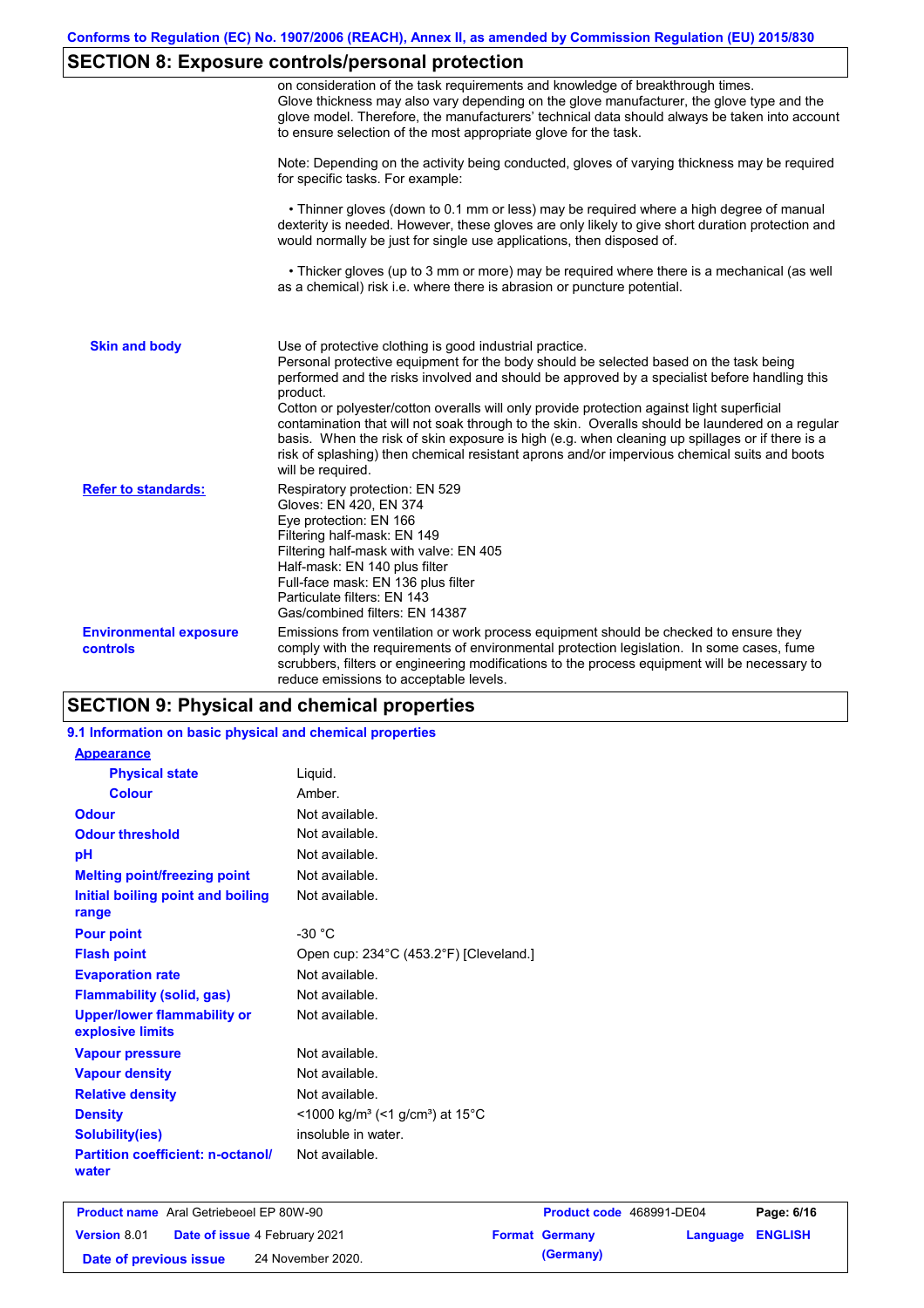# **SECTION 8: Exposure controls/personal protection**

|                                                  | on consideration of the task requirements and knowledge of breakthrough times.<br>Glove thickness may also vary depending on the glove manufacturer, the glove type and the<br>glove model. Therefore, the manufacturers' technical data should always be taken into account<br>to ensure selection of the most appropriate glove for the task.                                                                                                                                                                                                                                                                                                                                       |
|--------------------------------------------------|---------------------------------------------------------------------------------------------------------------------------------------------------------------------------------------------------------------------------------------------------------------------------------------------------------------------------------------------------------------------------------------------------------------------------------------------------------------------------------------------------------------------------------------------------------------------------------------------------------------------------------------------------------------------------------------|
|                                                  | Note: Depending on the activity being conducted, gloves of varying thickness may be required<br>for specific tasks. For example:                                                                                                                                                                                                                                                                                                                                                                                                                                                                                                                                                      |
|                                                  | • Thinner gloves (down to 0.1 mm or less) may be required where a high degree of manual<br>dexterity is needed. However, these gloves are only likely to give short duration protection and<br>would normally be just for single use applications, then disposed of.                                                                                                                                                                                                                                                                                                                                                                                                                  |
|                                                  | • Thicker gloves (up to 3 mm or more) may be required where there is a mechanical (as well<br>as a chemical) risk i.e. where there is abrasion or puncture potential.                                                                                                                                                                                                                                                                                                                                                                                                                                                                                                                 |
| <b>Skin and body</b>                             | Use of protective clothing is good industrial practice.<br>Personal protective equipment for the body should be selected based on the task being<br>performed and the risks involved and should be approved by a specialist before handling this<br>product.<br>Cotton or polyester/cotton overalls will only provide protection against light superficial<br>contamination that will not soak through to the skin. Overalls should be laundered on a regular<br>basis. When the risk of skin exposure is high (e.g. when cleaning up spillages or if there is a<br>risk of splashing) then chemical resistant aprons and/or impervious chemical suits and boots<br>will be required. |
| <b>Refer to standards:</b>                       | Respiratory protection: EN 529<br>Gloves: EN 420, EN 374<br>Eye protection: EN 166<br>Filtering half-mask: EN 149<br>Filtering half-mask with valve: EN 405<br>Half-mask: EN 140 plus filter<br>Full-face mask: EN 136 plus filter<br>Particulate filters: EN 143<br>Gas/combined filters: EN 14387                                                                                                                                                                                                                                                                                                                                                                                   |
| <b>Environmental exposure</b><br><b>controls</b> | Emissions from ventilation or work process equipment should be checked to ensure they<br>comply with the requirements of environmental protection legislation. In some cases, fume<br>scrubbers, filters or engineering modifications to the process equipment will be necessary to<br>reduce emissions to acceptable levels.                                                                                                                                                                                                                                                                                                                                                         |

### **SECTION 9: Physical and chemical properties**

### **9.1 Information on basic physical and chemical properties**

| <b>Appearance</b>                                      |                                                                         |
|--------------------------------------------------------|-------------------------------------------------------------------------|
| <b>Physical state</b>                                  | Liquid.                                                                 |
| Colour                                                 | Amber.                                                                  |
| <b>Odour</b>                                           | Not available.                                                          |
| <b>Odour threshold</b>                                 | Not available.                                                          |
| рH                                                     | Not available.                                                          |
| <b>Melting point/freezing point</b>                    | Not available.                                                          |
| Initial boiling point and boiling<br>range             | Not available.                                                          |
| <b>Pour point</b>                                      | $-30 °C$                                                                |
| <b>Flash point</b>                                     | Open cup: 234°C (453.2°F) [Cleveland.]                                  |
| <b>Evaporation rate</b>                                | Not available.                                                          |
| <b>Flammability (solid, gas)</b>                       | Not available.                                                          |
| <b>Upper/lower flammability or</b><br>explosive limits | Not available.                                                          |
| <b>Vapour pressure</b>                                 | Not available.                                                          |
| <b>Vapour density</b>                                  | Not available.                                                          |
| <b>Relative density</b>                                | Not available.                                                          |
| <b>Density</b>                                         | $<$ 1000 kg/m <sup>3</sup> (<1 g/cm <sup>3</sup> ) at 15 <sup>°</sup> C |
| <b>Solubility(ies)</b>                                 | insoluble in water.                                                     |
| <b>Partition coefficient: n-octanol/</b><br>water      | Not available.                                                          |

| <b>Product name</b> Aral Getriebeoel EP 80W-90 |  | <b>Product code</b> 468991-DE04      |  | Page: 6/16            |                         |  |
|------------------------------------------------|--|--------------------------------------|--|-----------------------|-------------------------|--|
| <b>Version 8.01</b>                            |  | <b>Date of issue 4 February 2021</b> |  | <b>Format Germany</b> | <b>Language ENGLISH</b> |  |
| Date of previous issue                         |  | 24 November 2020.                    |  | (Germany)             |                         |  |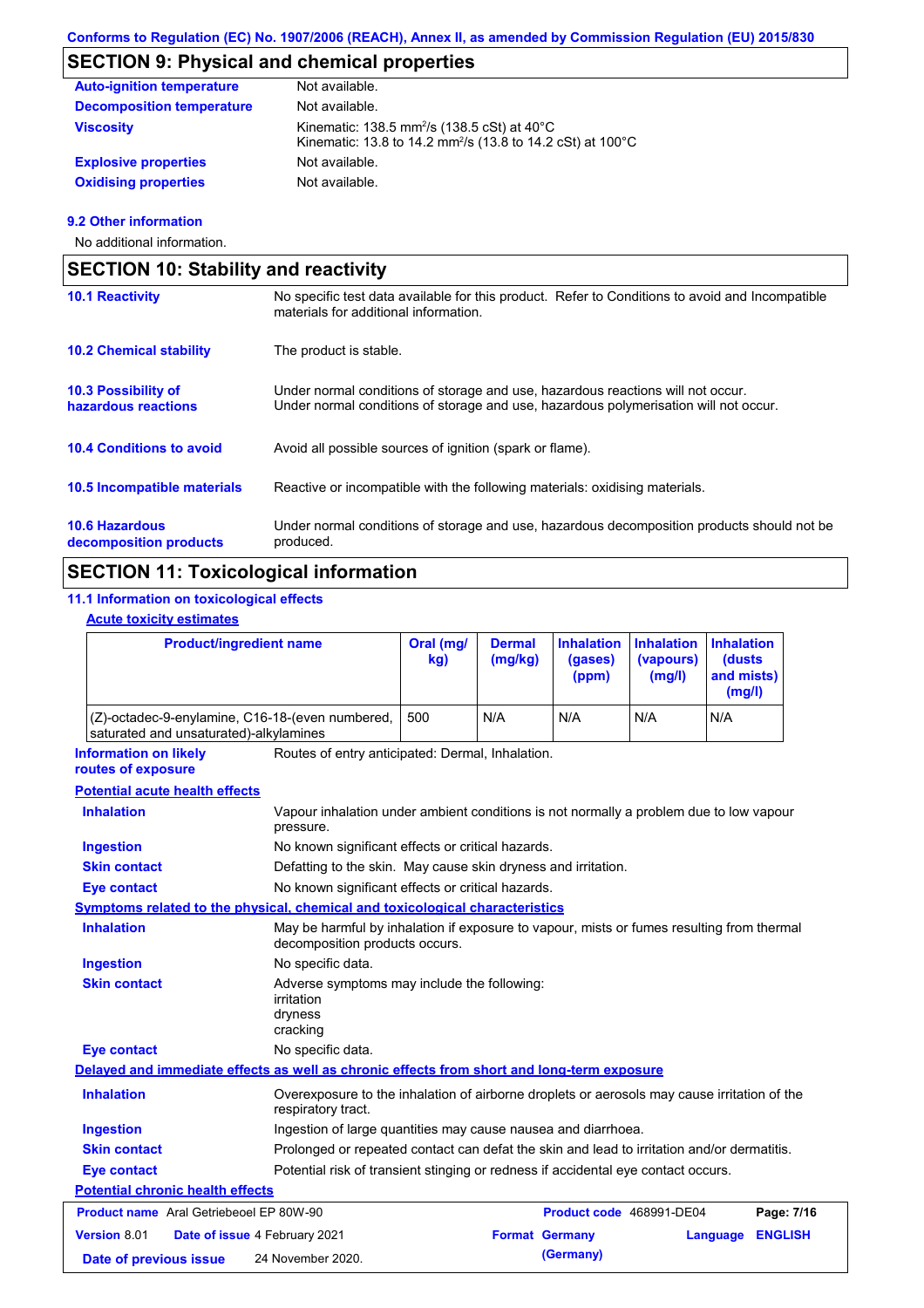# **SECTION 9: Physical and chemical properties**

| <b>Auto-ignition temperature</b> | Not available.                                                                                                                                         |
|----------------------------------|--------------------------------------------------------------------------------------------------------------------------------------------------------|
| <b>Decomposition temperature</b> | Not available.                                                                                                                                         |
| <b>Viscosity</b>                 | Kinematic: 138.5 mm <sup>2</sup> /s $(138.5 \text{ cSt})$ at 40 $^{\circ}$ C<br>Kinematic: 13.8 to 14.2 mm <sup>2</sup> /s (13.8 to 14.2 cSt) at 100°C |
| <b>Explosive properties</b>      | Not available.                                                                                                                                         |
| <b>Oxidising properties</b>      | Not available.                                                                                                                                         |

#### **9.2 Other information**

No additional information.

| <b>SECTION 10: Stability and reactivity</b>     |                                                                                                                                                                         |  |  |  |
|-------------------------------------------------|-------------------------------------------------------------------------------------------------------------------------------------------------------------------------|--|--|--|
| <b>10.1 Reactivity</b>                          | No specific test data available for this product. Refer to Conditions to avoid and Incompatible<br>materials for additional information.                                |  |  |  |
| <b>10.2 Chemical stability</b>                  | The product is stable.                                                                                                                                                  |  |  |  |
| 10.3 Possibility of<br>hazardous reactions      | Under normal conditions of storage and use, hazardous reactions will not occur.<br>Under normal conditions of storage and use, hazardous polymerisation will not occur. |  |  |  |
| <b>10.4 Conditions to avoid</b>                 | Avoid all possible sources of ignition (spark or flame).                                                                                                                |  |  |  |
| 10.5 Incompatible materials                     | Reactive or incompatible with the following materials: oxidising materials.                                                                                             |  |  |  |
| <b>10.6 Hazardous</b><br>decomposition products | Under normal conditions of storage and use, hazardous decomposition products should not be<br>produced.                                                                 |  |  |  |

## **SECTION 11: Toxicological information**

### **11.1 Information on toxicological effects**

### **Acute toxicity estimates**

| <b>Product/ingredient name</b>                                                             |                                                                                                                             | Oral (mg/<br>kg) | <b>Dermal</b><br>(mg/kg) | <b>Inhalation</b><br>(gases)<br>(ppm) | <b>Inhalation</b><br>(vapours)<br>(mg/l) | <b>Inhalation</b><br>(dusts<br>and mists)<br>(mg/l) |                |
|--------------------------------------------------------------------------------------------|-----------------------------------------------------------------------------------------------------------------------------|------------------|--------------------------|---------------------------------------|------------------------------------------|-----------------------------------------------------|----------------|
| (Z)-octadec-9-enylamine, C16-18-(even numbered,<br>saturated and unsaturated)-alkylamines  |                                                                                                                             | 500              | N/A                      | N/A                                   | N/A                                      | N/A                                                 |                |
| <b>Information on likely</b><br>routes of exposure                                         | Routes of entry anticipated: Dermal, Inhalation.                                                                            |                  |                          |                                       |                                          |                                                     |                |
| <b>Potential acute health effects</b>                                                      |                                                                                                                             |                  |                          |                                       |                                          |                                                     |                |
| <b>Inhalation</b>                                                                          | Vapour inhalation under ambient conditions is not normally a problem due to low vapour<br>pressure.                         |                  |                          |                                       |                                          |                                                     |                |
| <b>Ingestion</b>                                                                           | No known significant effects or critical hazards.                                                                           |                  |                          |                                       |                                          |                                                     |                |
| <b>Skin contact</b>                                                                        | Defatting to the skin. May cause skin dryness and irritation.                                                               |                  |                          |                                       |                                          |                                                     |                |
| <b>Eye contact</b>                                                                         | No known significant effects or critical hazards.                                                                           |                  |                          |                                       |                                          |                                                     |                |
| Symptoms related to the physical, chemical and toxicological characteristics               |                                                                                                                             |                  |                          |                                       |                                          |                                                     |                |
| <b>Inhalation</b>                                                                          | May be harmful by inhalation if exposure to vapour, mists or fumes resulting from thermal<br>decomposition products occurs. |                  |                          |                                       |                                          |                                                     |                |
| <b>Ingestion</b>                                                                           | No specific data.                                                                                                           |                  |                          |                                       |                                          |                                                     |                |
| <b>Skin contact</b>                                                                        | Adverse symptoms may include the following:<br>irritation<br>dryness<br>cracking                                            |                  |                          |                                       |                                          |                                                     |                |
| <b>Eye contact</b>                                                                         | No specific data.                                                                                                           |                  |                          |                                       |                                          |                                                     |                |
| Delayed and immediate effects as well as chronic effects from short and long-term exposure |                                                                                                                             |                  |                          |                                       |                                          |                                                     |                |
| <b>Inhalation</b>                                                                          | Overexposure to the inhalation of airborne droplets or aerosols may cause irritation of the<br>respiratory tract.           |                  |                          |                                       |                                          |                                                     |                |
| <b>Ingestion</b>                                                                           | Ingestion of large quantities may cause nausea and diarrhoea.                                                               |                  |                          |                                       |                                          |                                                     |                |
| <b>Skin contact</b>                                                                        | Prolonged or repeated contact can defat the skin and lead to irritation and/or dermatitis.                                  |                  |                          |                                       |                                          |                                                     |                |
| <b>Eye contact</b>                                                                         | Potential risk of transient stinging or redness if accidental eye contact occurs.                                           |                  |                          |                                       |                                          |                                                     |                |
| <b>Potential chronic health effects</b>                                                    |                                                                                                                             |                  |                          |                                       |                                          |                                                     |                |
| <b>Product name</b> Aral Getriebeoel EP 80W-90                                             |                                                                                                                             |                  |                          | Product code 468991-DE04              |                                          |                                                     | Page: 7/16     |
| <b>Version 8.01</b>                                                                        | Date of issue 4 February 2021                                                                                               |                  | <b>Format Germany</b>    |                                       |                                          | Language                                            | <b>ENGLISH</b> |
| Date of previous issue                                                                     | 24 November 2020.                                                                                                           |                  |                          | (Germany)                             |                                          |                                                     |                |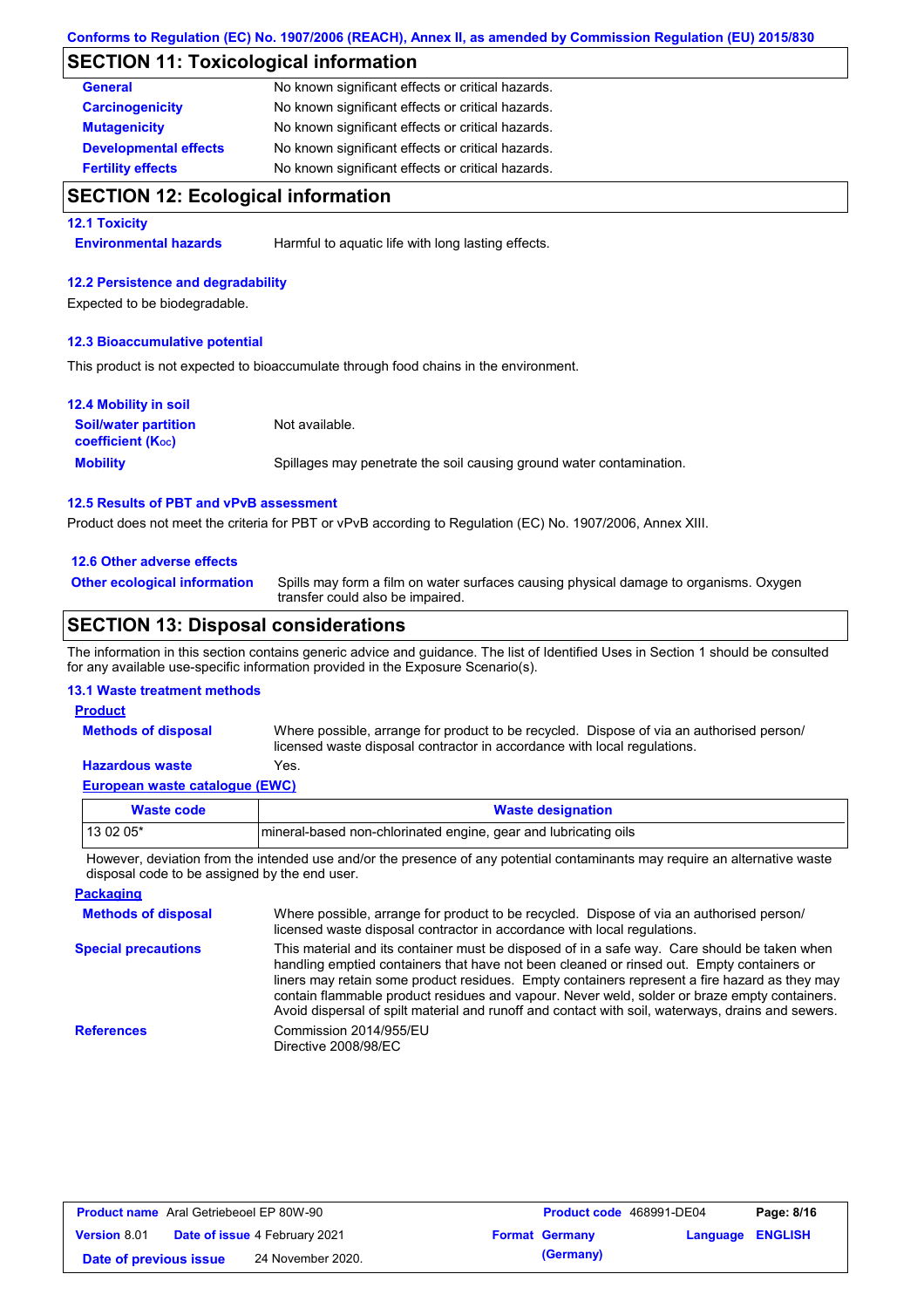### **SECTION 11: Toxicological information**

| <b>General</b>               | No known significant effects or critical hazards. |
|------------------------------|---------------------------------------------------|
| <b>Carcinogenicity</b>       | No known significant effects or critical hazards. |
| <b>Mutagenicity</b>          | No known significant effects or critical hazards. |
| <b>Developmental effects</b> | No known significant effects or critical hazards. |
| <b>Fertility effects</b>     | No known significant effects or critical hazards. |

### **SECTION 12: Ecological information**

#### **12.1 Toxicity**

**Environmental hazards** Harmful to aquatic life with long lasting effects.

#### **12.2 Persistence and degradability**

Expected to be biodegradable.

#### **12.3 Bioaccumulative potential**

This product is not expected to bioaccumulate through food chains in the environment.

| <b>12.4 Mobility in soil</b>                            |                                                                      |
|---------------------------------------------------------|----------------------------------------------------------------------|
| <b>Soil/water partition</b><br><b>coefficient (Koc)</b> | Not available.                                                       |
| <b>Mobility</b>                                         | Spillages may penetrate the soil causing ground water contamination. |

#### **12.5 Results of PBT and vPvB assessment**

Product does not meet the criteria for PBT or vPvB according to Regulation (EC) No. 1907/2006, Annex XIII.

#### **12.6 Other adverse effects**

**Other ecological information**

Spills may form a film on water surfaces causing physical damage to organisms. Oxygen transfer could also be impaired.

### **SECTION 13: Disposal considerations**

The information in this section contains generic advice and guidance. The list of Identified Uses in Section 1 should be consulted for any available use-specific information provided in the Exposure Scenario(s).

#### **13.1 Waste treatment methods**

#### **Product**

**Methods of disposal**

Where possible, arrange for product to be recycled. Dispose of via an authorised person/ licensed waste disposal contractor in accordance with local regulations.

#### **European waste catalogue (EWC) Hazardous waste** Yes.

| Waste code | <b>Waste designation</b>                                        |
|------------|-----------------------------------------------------------------|
| $130205*$  | mineral-based non-chlorinated engine, gear and lubricating oils |

However, deviation from the intended use and/or the presence of any potential contaminants may require an alternative waste disposal code to be assigned by the end user.

**Packaging**

**Methods of disposal Special precautions** Where possible, arrange for product to be recycled. Dispose of via an authorised person/ licensed waste disposal contractor in accordance with local regulations. This material and its container must be disposed of in a safe way. Care should be taken when handling emptied containers that have not been cleaned or rinsed out. Empty containers or

liners may retain some product residues. Empty containers represent a fire hazard as they may contain flammable product residues and vapour. Never weld, solder or braze empty containers. Avoid dispersal of spilt material and runoff and contact with soil, waterways, drains and sewers. **References** Commission 2014/955/EU Directive 2008/98/EC

| <b>Product name</b> Aral Getriebeoel EP 80W-90 |                                      | Product code 468991-DE04 |                  | Page: 8/16 |
|------------------------------------------------|--------------------------------------|--------------------------|------------------|------------|
| <b>Version 8.01</b>                            | <b>Date of issue 4 February 2021</b> | <b>Format Germany</b>    | Language ENGLISH |            |
| Date of previous issue                         | 24 November 2020.                    | (Germany)                |                  |            |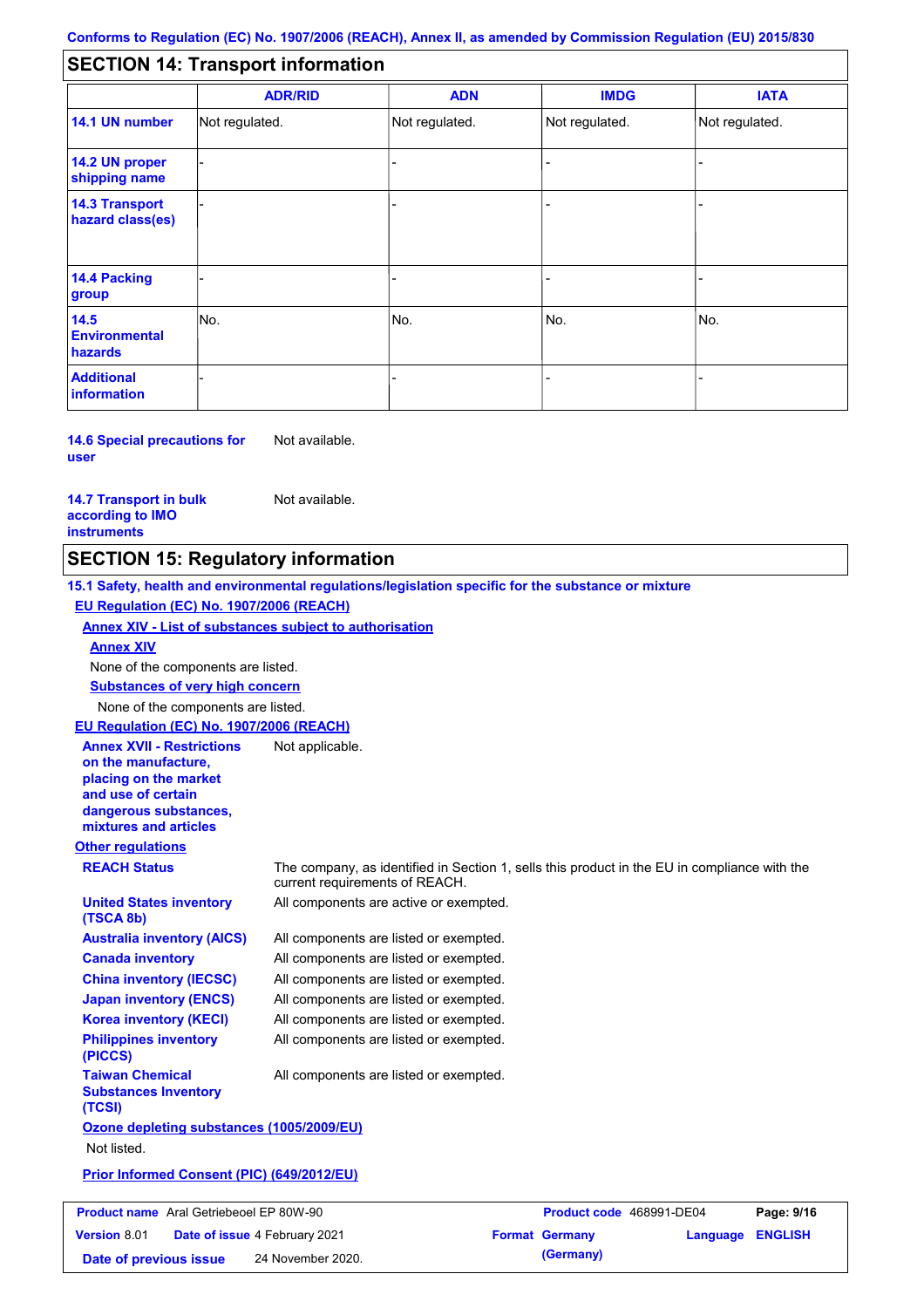#### - - - - - - - - - Not regulated. Not regulated. Not regulated. - - - **SECTION 14: Transport information ADR/RID IMDG IATA 14.1 UN number 14.2 UN proper shipping name 14.3 Transport hazard class(es) 14.4 Packing group ADN Additional information 14.5 Environmental hazards** No. 1988 | No. 1989 | No. 1989 | No. 1989 | No. 1989 | No. 1989 | No. 1989 | No. 1989 | No. 1989 | No. 1989 | Not regulated. - -<br>No. - -

**14.6 Special precautions for user** Not available.

**14.7 Transport in bulk according to IMO instruments**

Not available.

### **SECTION 15: Regulatory information**

**Other regulations REACH Status** The company, as identified in Section 1, sells this product in the EU in compliance with the current requirements of REACH. **15.1 Safety, health and environmental regulations/legislation specific for the substance or mixture EU Regulation (EC) No. 1907/2006 (REACH) Annex XIV - List of substances subject to authorisation Substances of very high concern** None of the components are listed. All components are listed or exempted. All components are listed or exempted. All components are listed or exempted. All components are listed or exempted. All components are active or exempted. All components are listed or exempted. All components are listed or exempted. **United States inventory (TSCA 8b) Australia inventory (AICS) Canada inventory China inventory (IECSC) Japan inventory (ENCS) Korea inventory (KECI) Philippines inventory (PICCS) Taiwan Chemical Substances Inventory (TCSI)** All components are listed or exempted. **Ozone depleting substances (1005/2009/EU)** Not listed. **Prior Informed Consent (PIC) (649/2012/EU)** None of the components are listed. **Annex XIV EU Regulation (EC) No. 1907/2006 (REACH) Annex XVII - Restrictions on the manufacture, placing on the market and use of certain dangerous substances, mixtures and articles** Not applicable. **Product name** Aral Getriebeoel EP 80W-90 **Version** 8.01 Aral Getriebeoel EP 80W-90 **Product code** 468991-DE04 **Page: 9/16 Date of issue** 4 February 2021 **Format Germany Language ENGLISH** 

**Date of previous issue** 24 November 2020. **(Germany)**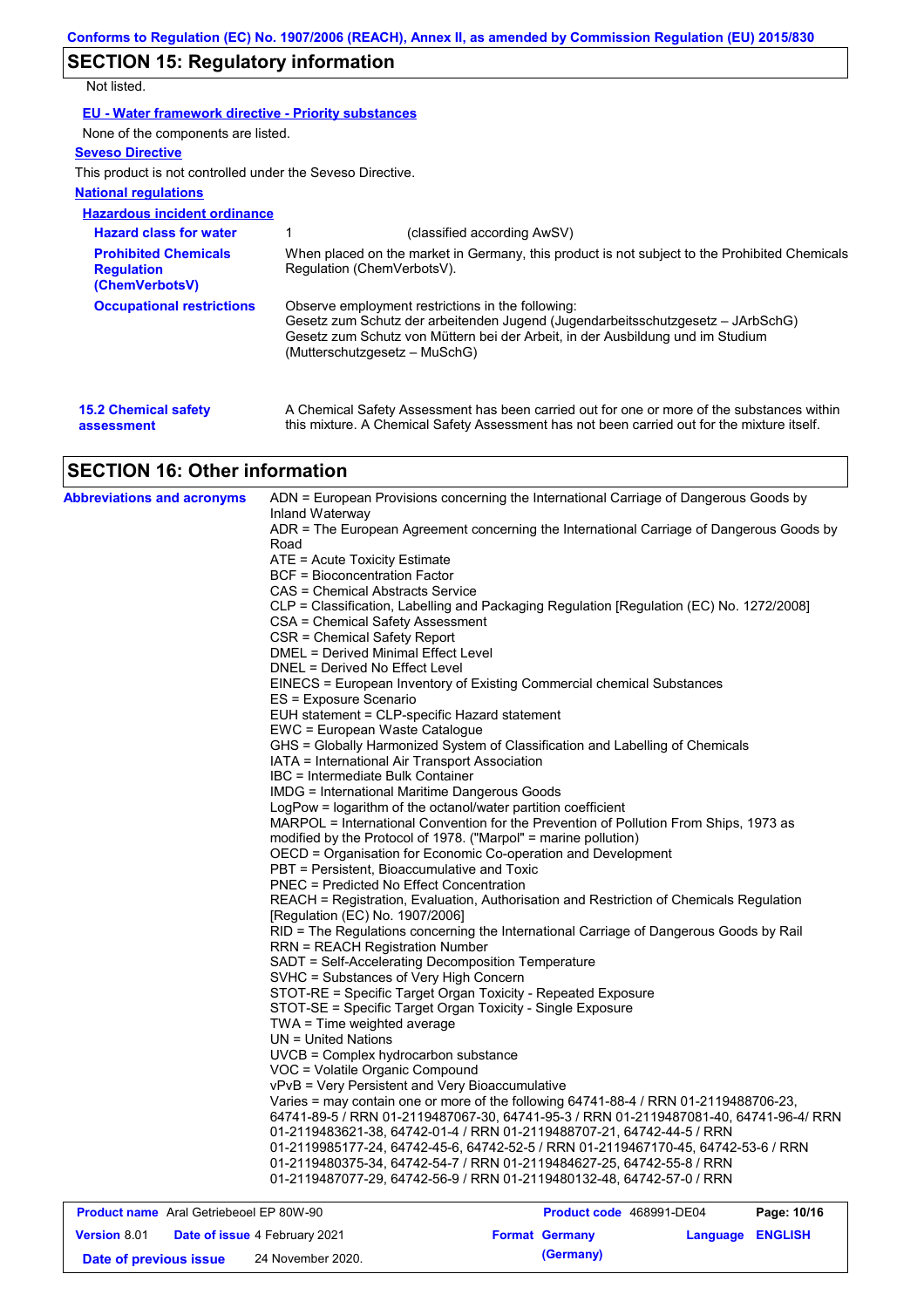# **SECTION 15: Regulatory information**

Not listed.

| EU - Water framework directive - Priority substances |  |
|------------------------------------------------------|--|
|------------------------------------------------------|--|

None of the components are listed.

#### **Seveso Directive**

This product is not controlled under the Seveso Directive.

#### **National regulations**

| <b>Hazardous incident ordinance</b>                                |                                                                                                                                                                                                                                                         |
|--------------------------------------------------------------------|---------------------------------------------------------------------------------------------------------------------------------------------------------------------------------------------------------------------------------------------------------|
| <b>Hazard class for water</b>                                      | (classified according AwSV)                                                                                                                                                                                                                             |
| <b>Prohibited Chemicals</b><br><b>Regulation</b><br>(ChemVerbotsV) | When placed on the market in Germany, this product is not subject to the Prohibited Chemicals<br>Requlation (ChemVerbotsV).                                                                                                                             |
| <b>Occupational restrictions</b>                                   | Observe employment restrictions in the following:<br>Gesetz zum Schutz der arbeitenden Jugend (Jugendarbeitsschutzgesetz – JArbSchG)<br>Gesetz zum Schutz von Müttern bei der Arbeit, in der Ausbildung und im Studium<br>(Mutterschutzgesetz – MuSchG) |
| <b>15.2 Chemical safety</b><br>assessment                          | A Chemical Safety Assessment has been carried out for one or more of the substances within<br>this mixture. A Chemical Safety Assessment has not been carried out for the mixture itself.                                                               |

# **SECTION 16: Other information**

| <b>Product name</b> Aral Getriebeoel EP 80W-90 | <b>Product code</b> 468991-DE04                                                                                                                                                                                      | Page: 10/16 |  |  |  |
|------------------------------------------------|----------------------------------------------------------------------------------------------------------------------------------------------------------------------------------------------------------------------|-------------|--|--|--|
|                                                |                                                                                                                                                                                                                      |             |  |  |  |
|                                                | 01-2119480375-34, 64742-54-7 / RRN 01-2119484627-25, 64742-55-8 / RRN<br>01-2119487077-29, 64742-56-9 / RRN 01-2119480132-48, 64742-57-0 / RRN                                                                       |             |  |  |  |
|                                                | 01-2119985177-24, 64742-45-6, 64742-52-5 / RRN 01-2119467170-45, 64742-53-6 / RRN                                                                                                                                    |             |  |  |  |
|                                                | 64741-89-5 / RRN 01-2119487067-30, 64741-95-3 / RRN 01-2119487081-40, 64741-96-4/ RRN<br>01-2119483621-38, 64742-01-4 / RRN 01-2119488707-21, 64742-44-5 / RRN                                                       |             |  |  |  |
|                                                |                                                                                                                                                                                                                      |             |  |  |  |
|                                                | VOC = Volatile Organic Compound<br>vPvB = Very Persistent and Very Bioaccumulative<br>Varies = may contain one or more of the following 64741-88-4 / RRN 01-2119488706-23,                                           |             |  |  |  |
|                                                |                                                                                                                                                                                                                      |             |  |  |  |
|                                                |                                                                                                                                                                                                                      |             |  |  |  |
|                                                | UVCB = Complex hydrocarbon substance                                                                                                                                                                                 |             |  |  |  |
|                                                | $UN = United Nations$                                                                                                                                                                                                |             |  |  |  |
|                                                | TWA = Time weighted average                                                                                                                                                                                          |             |  |  |  |
|                                                | STOT-SE = Specific Target Organ Toxicity - Single Exposure                                                                                                                                                           |             |  |  |  |
|                                                | STOT-RE = Specific Target Organ Toxicity - Repeated Exposure                                                                                                                                                         |             |  |  |  |
|                                                | SVHC = Substances of Very High Concern                                                                                                                                                                               |             |  |  |  |
|                                                | SADT = Self-Accelerating Decomposition Temperature                                                                                                                                                                   |             |  |  |  |
|                                                | <b>RRN = REACH Registration Number</b>                                                                                                                                                                               |             |  |  |  |
|                                                | REACH = Registration, Evaluation, Authorisation and Restriction of Chemicals Regulation<br>[Regulation (EC) No. 1907/2006]<br>RID = The Regulations concerning the International Carriage of Dangerous Goods by Rail |             |  |  |  |
|                                                |                                                                                                                                                                                                                      |             |  |  |  |
|                                                |                                                                                                                                                                                                                      |             |  |  |  |
|                                                | <b>PNEC = Predicted No Effect Concentration</b>                                                                                                                                                                      |             |  |  |  |
|                                                | PBT = Persistent, Bioaccumulative and Toxic                                                                                                                                                                          |             |  |  |  |
|                                                | OECD = Organisation for Economic Co-operation and Development                                                                                                                                                        |             |  |  |  |
|                                                | modified by the Protocol of 1978. ("Marpol" = marine pollution)                                                                                                                                                      |             |  |  |  |
|                                                | MARPOL = International Convention for the Prevention of Pollution From Ships, 1973 as                                                                                                                                |             |  |  |  |
|                                                | LogPow = logarithm of the octanol/water partition coefficient                                                                                                                                                        |             |  |  |  |
|                                                | <b>IMDG = International Maritime Dangerous Goods</b>                                                                                                                                                                 |             |  |  |  |
|                                                | IBC = Intermediate Bulk Container                                                                                                                                                                                    |             |  |  |  |
|                                                | IATA = International Air Transport Association                                                                                                                                                                       |             |  |  |  |
|                                                | EUH statement = CLP-specific Hazard statement<br>EWC = European Waste Catalogue<br>GHS = Globally Harmonized System of Classification and Labelling of Chemicals                                                     |             |  |  |  |
|                                                |                                                                                                                                                                                                                      |             |  |  |  |
|                                                |                                                                                                                                                                                                                      |             |  |  |  |
|                                                | ES = Exposure Scenario                                                                                                                                                                                               |             |  |  |  |
|                                                | EINECS = European Inventory of Existing Commercial chemical Substances                                                                                                                                               |             |  |  |  |
|                                                | DNEL = Derived No Effect Level                                                                                                                                                                                       |             |  |  |  |
|                                                | DMEL = Derived Minimal Effect Level                                                                                                                                                                                  |             |  |  |  |
|                                                | CSR = Chemical Safety Report                                                                                                                                                                                         |             |  |  |  |
|                                                | CSA = Chemical Safety Assessment                                                                                                                                                                                     |             |  |  |  |
|                                                | CAS = Chemical Abstracts Service<br>CLP = Classification, Labelling and Packaging Regulation [Regulation (EC) No. 1272/2008]                                                                                         |             |  |  |  |
|                                                | <b>BCF</b> = Bioconcentration Factor                                                                                                                                                                                 |             |  |  |  |
|                                                | ATE = Acute Toxicity Estimate                                                                                                                                                                                        |             |  |  |  |
|                                                | Road                                                                                                                                                                                                                 |             |  |  |  |
|                                                | ADR = The European Agreement concerning the International Carriage of Dangerous Goods by                                                                                                                             |             |  |  |  |
|                                                |                                                                                                                                                                                                                      |             |  |  |  |
|                                                | Inland Waterway                                                                                                                                                                                                      |             |  |  |  |

| <b>Product name</b> Aral Getriebeoel EP 80W-90 |                                      | Product code 468991-DE04 |                  | Page: 10/16 |
|------------------------------------------------|--------------------------------------|--------------------------|------------------|-------------|
| <b>Version 8.01</b>                            | <b>Date of issue 4 February 2021</b> | <b>Format Germany</b>    | Language ENGLISH |             |
| Date of previous issue                         | 24 November 2020.                    | (Germany)                |                  |             |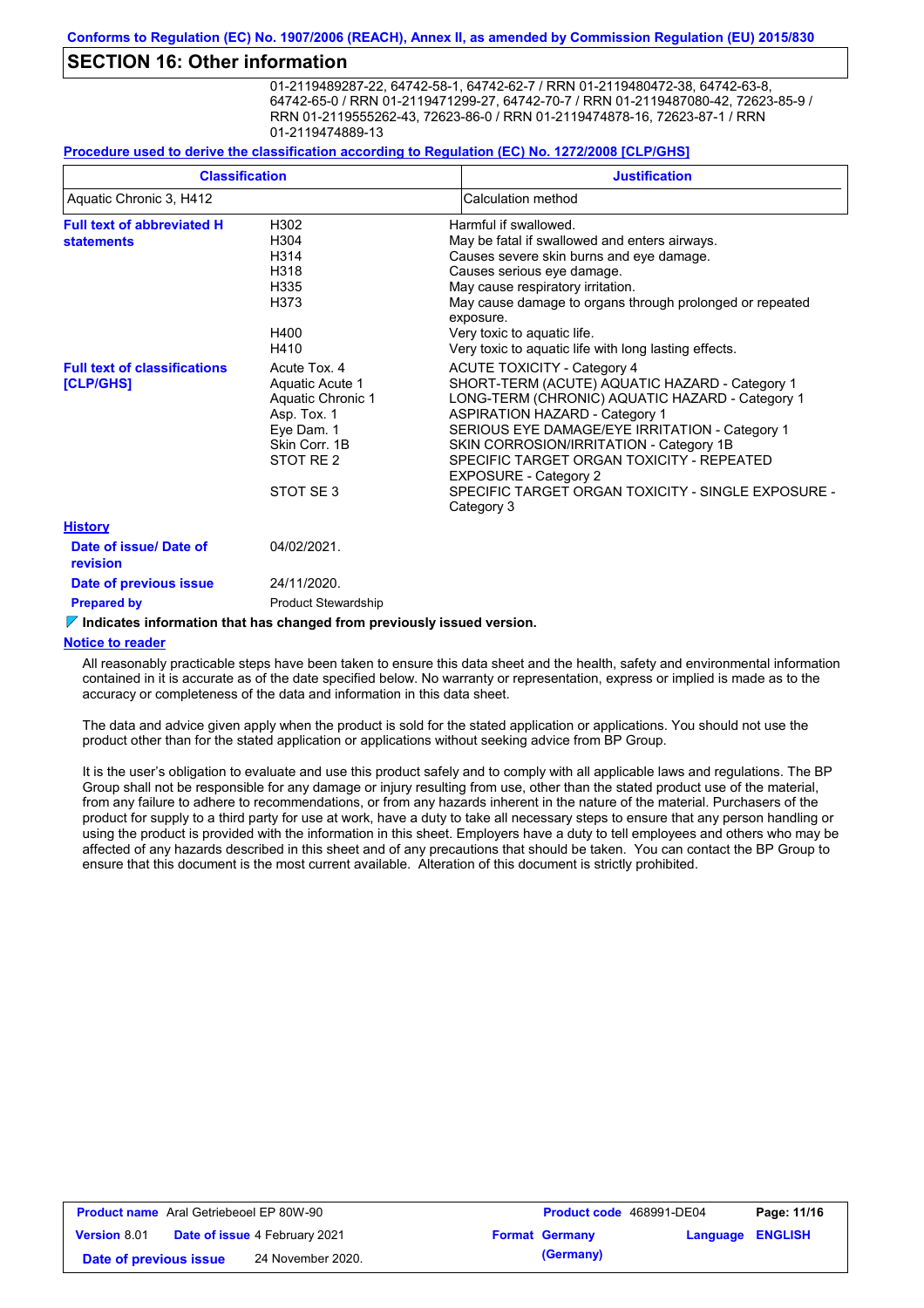### **SECTION 16: Other information**

01-2119489287-22, 64742-58-1, 64742-62-7 / RRN 01-2119480472-38, 64742-63-8, 64742-65-0 / RRN 01-2119471299-27, 64742-70-7 / RRN 01-2119487080-42, 72623-85-9 / RRN 01-2119555262-43, 72623-86-0 / RRN 01-2119474878-16, 72623-87-1 / RRN 01-2119474889-13

#### **Procedure used to derive the classification according to Regulation (EC) No. 1272/2008 [CLP/GHS]**

| <b>Classification</b><br>Aquatic Chronic 3, H412       |                                                                                                                                     | <b>Justification</b>                                                                                                                                                                                                                                                                                                                                                                                                                                                                    |
|--------------------------------------------------------|-------------------------------------------------------------------------------------------------------------------------------------|-----------------------------------------------------------------------------------------------------------------------------------------------------------------------------------------------------------------------------------------------------------------------------------------------------------------------------------------------------------------------------------------------------------------------------------------------------------------------------------------|
|                                                        |                                                                                                                                     | Calculation method                                                                                                                                                                                                                                                                                                                                                                                                                                                                      |
| <b>Full text of abbreviated H</b><br><b>statements</b> | H302<br>H304<br>H314<br>H318                                                                                                        | Harmful if swallowed.<br>May be fatal if swallowed and enters airways.<br>Causes severe skin burns and eye damage.<br>Causes serious eye damage.                                                                                                                                                                                                                                                                                                                                        |
|                                                        | H335<br>H373<br>H400                                                                                                                | May cause respiratory irritation.<br>May cause damage to organs through prolonged or repeated<br>exposure.<br>Very toxic to aquatic life.                                                                                                                                                                                                                                                                                                                                               |
| <b>Full text of classifications</b><br>[CLP/GHS]       | H410<br>Acute Tox, 4<br>Aquatic Acute 1<br>Aquatic Chronic 1<br>Asp. Tox. 1<br>Eye Dam. 1<br>Skin Corr. 1B<br>STOT RE 2<br>STOT SE3 | Very toxic to aquatic life with long lasting effects.<br><b>ACUTE TOXICITY - Category 4</b><br>SHORT-TERM (ACUTE) AQUATIC HAZARD - Category 1<br>LONG-TERM (CHRONIC) AQUATIC HAZARD - Category 1<br><b>ASPIRATION HAZARD - Category 1</b><br>SERIOUS EYE DAMAGE/EYE IRRITATION - Category 1<br>SKIN CORROSION/IRRITATION - Category 1B<br>SPECIFIC TARGET ORGAN TOXICITY - REPEATED<br><b>EXPOSURE - Category 2</b><br>SPECIFIC TARGET ORGAN TOXICITY - SINGLE EXPOSURE -<br>Category 3 |
| <b>History</b>                                         |                                                                                                                                     |                                                                                                                                                                                                                                                                                                                                                                                                                                                                                         |
| Date of issue/Date of<br>revision                      | 04/02/2021.                                                                                                                         |                                                                                                                                                                                                                                                                                                                                                                                                                                                                                         |
| Date of previous issue                                 | 24/11/2020.                                                                                                                         |                                                                                                                                                                                                                                                                                                                                                                                                                                                                                         |
| <b>Prepared by</b>                                     | <b>Product Stewardship</b>                                                                                                          |                                                                                                                                                                                                                                                                                                                                                                                                                                                                                         |

#### **Indicates information that has changed from previously issued version.**

#### **Notice to reader**

All reasonably practicable steps have been taken to ensure this data sheet and the health, safety and environmental information contained in it is accurate as of the date specified below. No warranty or representation, express or implied is made as to the accuracy or completeness of the data and information in this data sheet.

The data and advice given apply when the product is sold for the stated application or applications. You should not use the product other than for the stated application or applications without seeking advice from BP Group.

It is the user's obligation to evaluate and use this product safely and to comply with all applicable laws and regulations. The BP Group shall not be responsible for any damage or injury resulting from use, other than the stated product use of the material, from any failure to adhere to recommendations, or from any hazards inherent in the nature of the material. Purchasers of the product for supply to a third party for use at work, have a duty to take all necessary steps to ensure that any person handling or using the product is provided with the information in this sheet. Employers have a duty to tell employees and others who may be affected of any hazards described in this sheet and of any precautions that should be taken. You can contact the BP Group to ensure that this document is the most current available. Alteration of this document is strictly prohibited.

| <b>Product name</b> Aral Getriebeoel EP 80W-90              |  | <b>Product code</b> 468991-DE04 |                         | Page: 11/16 |
|-------------------------------------------------------------|--|---------------------------------|-------------------------|-------------|
| <b>Date of issue 4 February 2021</b><br><b>Version 8.01</b> |  | <b>Format Germany</b>           | <b>Language ENGLISH</b> |             |
| 24 November 2020.<br>Date of previous issue                 |  | (Germany)                       |                         |             |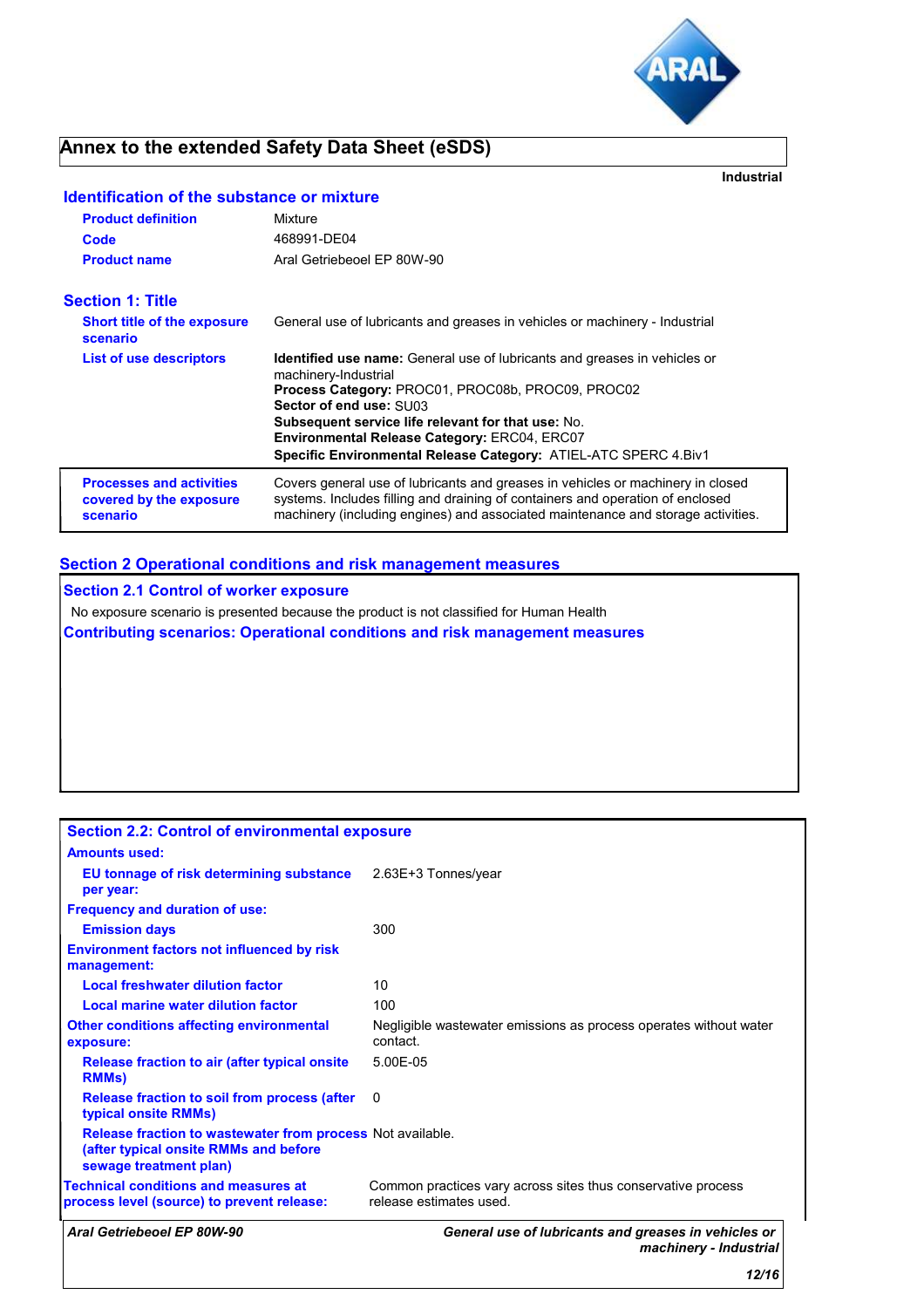

**Industrial**

### **Annex to the extended Safety Data Sheet (eSDS)**

**Identification of the substance or mixture**

| <b>Product definition</b>                                              | Mixture                                                                                                                                                                                                                                                                                                                                                                         |
|------------------------------------------------------------------------|---------------------------------------------------------------------------------------------------------------------------------------------------------------------------------------------------------------------------------------------------------------------------------------------------------------------------------------------------------------------------------|
| Code                                                                   | 468991-DE04                                                                                                                                                                                                                                                                                                                                                                     |
| <b>Product name</b>                                                    | Aral Getriebeoel EP 80W-90                                                                                                                                                                                                                                                                                                                                                      |
| <b>Section 1: Title</b>                                                |                                                                                                                                                                                                                                                                                                                                                                                 |
| <b>Short title of the exposure</b><br>scenario                         | General use of lubricants and greases in vehicles or machinery - Industrial                                                                                                                                                                                                                                                                                                     |
| <b>List of use descriptors</b>                                         | <b>Identified use name:</b> General use of lubricants and greases in vehicles or<br>machinery-Industrial<br>Process Category: PROC01, PROC08b, PROC09, PROC02<br>Sector of end use: SU03<br><b>Subsequent service life relevant for that use: No.</b><br><b>Environmental Release Category: ERC04, ERC07</b><br>Specific Environmental Release Category: ATIEL-ATC SPERC 4.Biv1 |
| <b>Processes and activities</b><br>covered by the exposure<br>scenario | Covers general use of lubricants and greases in vehicles or machinery in closed<br>systems. Includes filling and draining of containers and operation of enclosed<br>machinery (including engines) and associated maintenance and storage activities.                                                                                                                           |

### **Section 2 Operational conditions and risk management measures**

**Section 2.1 Control of worker exposure** No exposure scenario is presented because the product is not classified for Human Health **Contributing scenarios: Operational conditions and risk management measures**

| <b>Section 2.2: Control of environmental exposure</b>                                                                         |                                                                                         |
|-------------------------------------------------------------------------------------------------------------------------------|-----------------------------------------------------------------------------------------|
| <b>Amounts used:</b>                                                                                                          |                                                                                         |
| <b>EU tonnage of risk determining substance</b> 2.63E+3 Tonnes/year<br>per year:                                              |                                                                                         |
| <b>Frequency and duration of use:</b>                                                                                         |                                                                                         |
| <b>Emission days</b>                                                                                                          | 300                                                                                     |
| <b>Environment factors not influenced by risk</b><br>management:                                                              |                                                                                         |
| <b>Local freshwater dilution factor</b>                                                                                       | 10                                                                                      |
| Local marine water dilution factor                                                                                            | 100                                                                                     |
| <b>Other conditions affecting environmental</b><br>exposure:                                                                  | Negligible wastewater emissions as process operates without water<br>contact            |
| Release fraction to air (after typical onsite)<br><b>RMMs</b> )                                                               | 5.00E-05                                                                                |
| Release fraction to soil from process (after<br>typical onsite RMMs)                                                          | 0                                                                                       |
| Release fraction to wastewater from process Not available.<br>(after typical onsite RMMs and before<br>sewage treatment plan) |                                                                                         |
| <b>Technical conditions and measures at</b><br>process level (source) to prevent release:                                     | Common practices vary across sites thus conservative process<br>release estimates used. |
| Aral Getriebeoel EP 80W-90                                                                                                    | General use of lubricants and greases in vehicles or<br>machinery - Industrial          |
|                                                                                                                               | 12/16                                                                                   |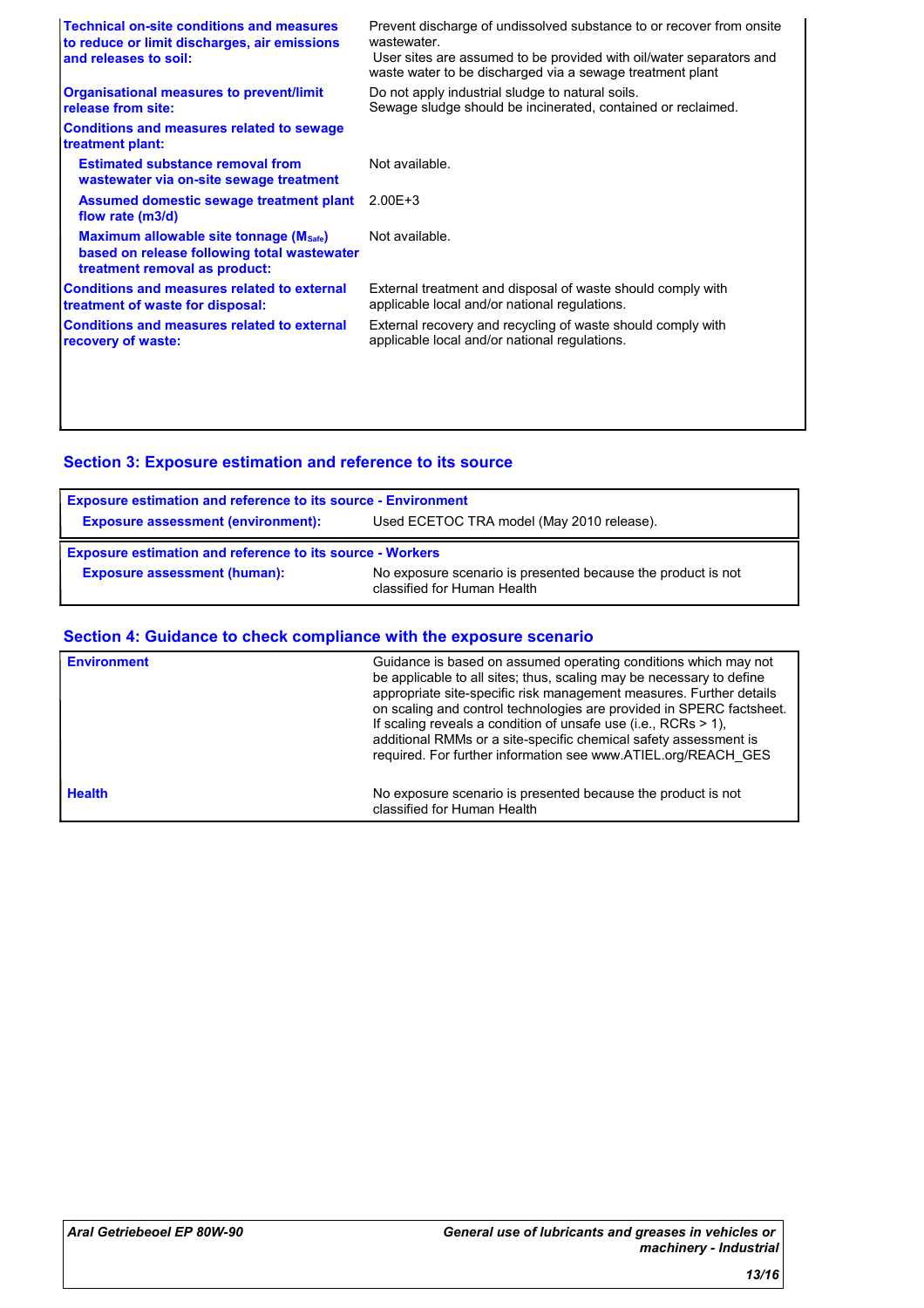| <b>Technical on-site conditions and measures</b><br>to reduce or limit discharges, air emissions<br>and releases to soil: | Prevent discharge of undissolved substance to or recover from onsite<br>wastewater<br>User sites are assumed to be provided with oil/water separators and<br>waste water to be discharged via a sewage treatment plant |
|---------------------------------------------------------------------------------------------------------------------------|------------------------------------------------------------------------------------------------------------------------------------------------------------------------------------------------------------------------|
| <b>Organisational measures to prevent/limit</b><br>release from site:                                                     | Do not apply industrial sludge to natural soils.<br>Sewage sludge should be incinerated, contained or reclaimed.                                                                                                       |
| <b>Conditions and measures related to sewage</b><br>treatment plant:                                                      |                                                                                                                                                                                                                        |
| <b>Estimated substance removal from</b><br>wastewater via on-site sewage treatment                                        | Not available.                                                                                                                                                                                                         |
| Assumed domestic sewage treatment plant<br>flow rate (m3/d)                                                               | $2.00E + 3$                                                                                                                                                                                                            |
| Maximum allowable site tonnage (Msafe)<br>based on release following total wastewater<br>treatment removal as product:    | Not available.                                                                                                                                                                                                         |
| <b>Conditions and measures related to external</b><br>treatment of waste for disposal:                                    | External treatment and disposal of waste should comply with<br>applicable local and/or national regulations.                                                                                                           |
| <b>Conditions and measures related to external</b><br>recovery of waste:                                                  | External recovery and recycling of waste should comply with<br>applicable local and/or national regulations.                                                                                                           |
|                                                                                                                           |                                                                                                                                                                                                                        |
|                                                                                                                           |                                                                                                                                                                                                                        |

### **Section 3: Exposure estimation and reference to its source**

| <b>Exposure estimation and reference to its source - Environment</b> |                                                                                             |  |  |
|----------------------------------------------------------------------|---------------------------------------------------------------------------------------------|--|--|
| <b>Exposure assessment (environment):</b>                            | Used ECETOC TRA model (May 2010 release).                                                   |  |  |
| <b>Exposure estimation and reference to its source - Workers</b>     |                                                                                             |  |  |
| <b>Exposure assessment (human):</b>                                  | No exposure scenario is presented because the product is not<br>classified for Human Health |  |  |

### **Section 4: Guidance to check compliance with the exposure scenario**

| <b>Environment</b> | Guidance is based on assumed operating conditions which may not<br>be applicable to all sites; thus, scaling may be necessary to define<br>appropriate site-specific risk management measures. Further details<br>on scaling and control technologies are provided in SPERC factsheet.<br>If scaling reveals a condition of unsafe use (i.e., RCRs $> 1$ ),<br>additional RMMs or a site-specific chemical safety assessment is<br>required. For further information see www.ATIEL.org/REACH_GES |
|--------------------|--------------------------------------------------------------------------------------------------------------------------------------------------------------------------------------------------------------------------------------------------------------------------------------------------------------------------------------------------------------------------------------------------------------------------------------------------------------------------------------------------|
| <b>Health</b>      | No exposure scenario is presented because the product is not<br>classified for Human Health                                                                                                                                                                                                                                                                                                                                                                                                      |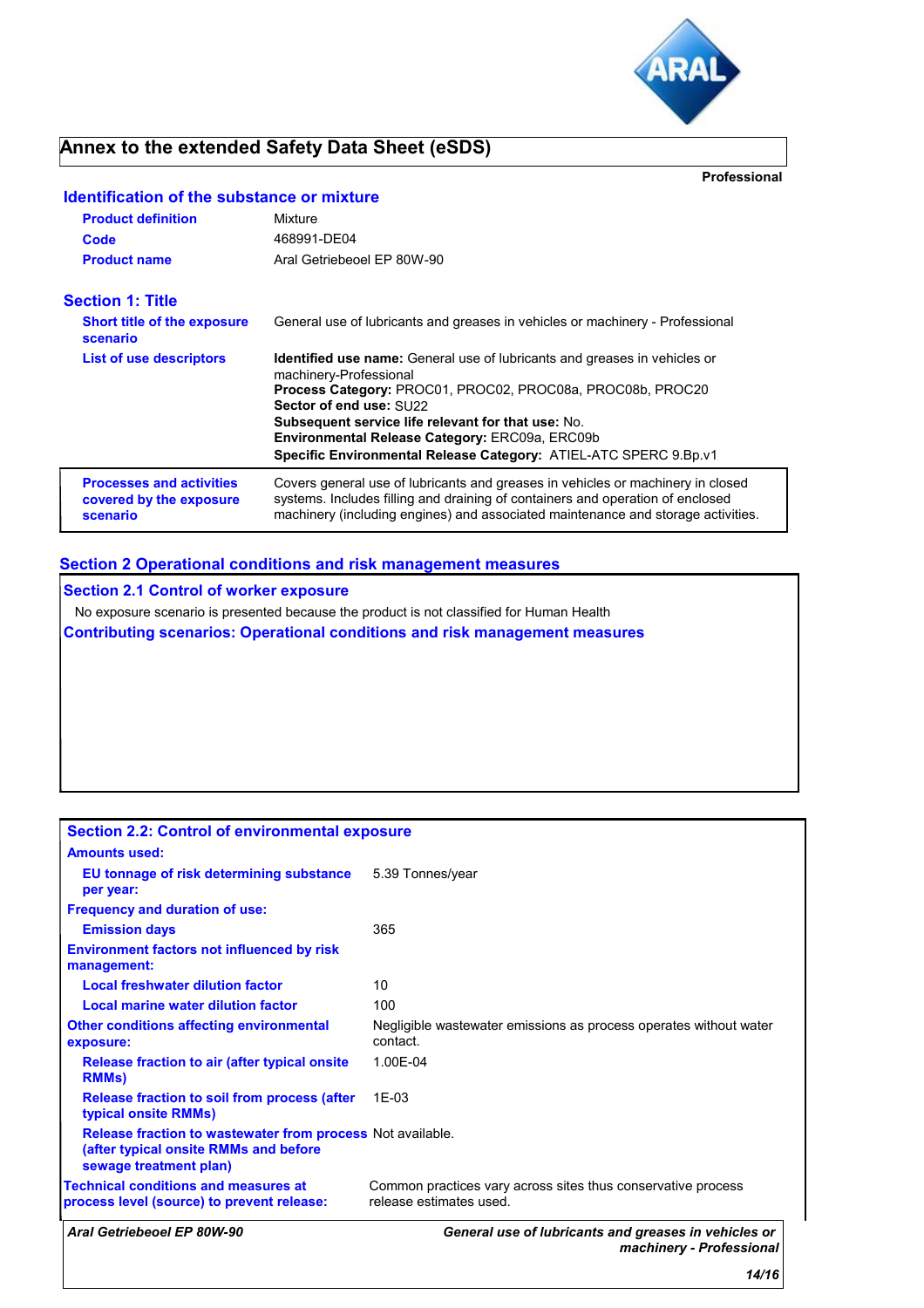

### **Annex to the extended Safety Data Sheet (eSDS)**

**Professional**

# **Identification of the substance or mixture**

| <b>Product definition</b><br>Code<br><b>Product name</b>               | Mixture<br>468991-DE04<br>Aral Getriebeoel EP 80W-90                                                                                                                                                                                                                                                                                                                            |
|------------------------------------------------------------------------|---------------------------------------------------------------------------------------------------------------------------------------------------------------------------------------------------------------------------------------------------------------------------------------------------------------------------------------------------------------------------------|
| <b>Section 1: Title</b>                                                |                                                                                                                                                                                                                                                                                                                                                                                 |
| <b>Short title of the exposure</b><br>scenario                         | General use of lubricants and greases in vehicles or machinery - Professional                                                                                                                                                                                                                                                                                                   |
| <b>List of use descriptors</b>                                         | <b>Identified use name:</b> General use of lubricants and greases in vehicles or<br>machinery-Professional<br>Process Category: PROC01, PROC02, PROC08a, PROC08b, PROC20<br>Sector of end use: SU22<br>Subsequent service life relevant for that use: No.<br>Environmental Release Category: ERC09a, ERC09b<br>Specific Environmental Release Category: ATIEL-ATC SPERC 9.Bp.v1 |
| <b>Processes and activities</b><br>covered by the exposure<br>scenario | Covers general use of lubricants and greases in vehicles or machinery in closed<br>systems. Includes filling and draining of containers and operation of enclosed<br>machinery (including engines) and associated maintenance and storage activities.                                                                                                                           |

### **Section 2 Operational conditions and risk management measures**

**Section 2.1 Control of worker exposure**

No exposure scenario is presented because the product is not classified for Human Health

**Contributing scenarios: Operational conditions and risk management measures**

| <b>Section 2.2: Control of environmental exposure</b>                                                                         |                                                                                         |
|-------------------------------------------------------------------------------------------------------------------------------|-----------------------------------------------------------------------------------------|
| <b>Amounts used:</b>                                                                                                          |                                                                                         |
| EU tonnage of risk determining substance<br>per year:                                                                         | 5.39 Tonnes/year                                                                        |
| <b>Frequency and duration of use:</b>                                                                                         |                                                                                         |
| <b>Emission days</b>                                                                                                          | 365                                                                                     |
| <b>Environment factors not influenced by risk</b><br>management:                                                              |                                                                                         |
| <b>Local freshwater dilution factor</b>                                                                                       | 10                                                                                      |
| Local marine water dilution factor                                                                                            | 100                                                                                     |
| <b>Other conditions affecting environmental</b><br>exposure:                                                                  | Negligible wastewater emissions as process operates without water<br>contact.           |
| Release fraction to air (after typical onsite<br><b>RMMs</b> )                                                                | 1.00E-04                                                                                |
| Release fraction to soil from process (after<br>typical onsite RMMs)                                                          | $1F-0.3$                                                                                |
| Release fraction to wastewater from process Not available.<br>(after typical onsite RMMs and before<br>sewage treatment plan) |                                                                                         |
| <b>Technical conditions and measures at</b><br>process level (source) to prevent release:                                     | Common practices vary across sites thus conservative process<br>release estimates used. |
| Aral Getriebeoel EP 80W-90                                                                                                    | General use of lubricants and greases in vehicles or<br>machinery - Professional        |
|                                                                                                                               | 14/16                                                                                   |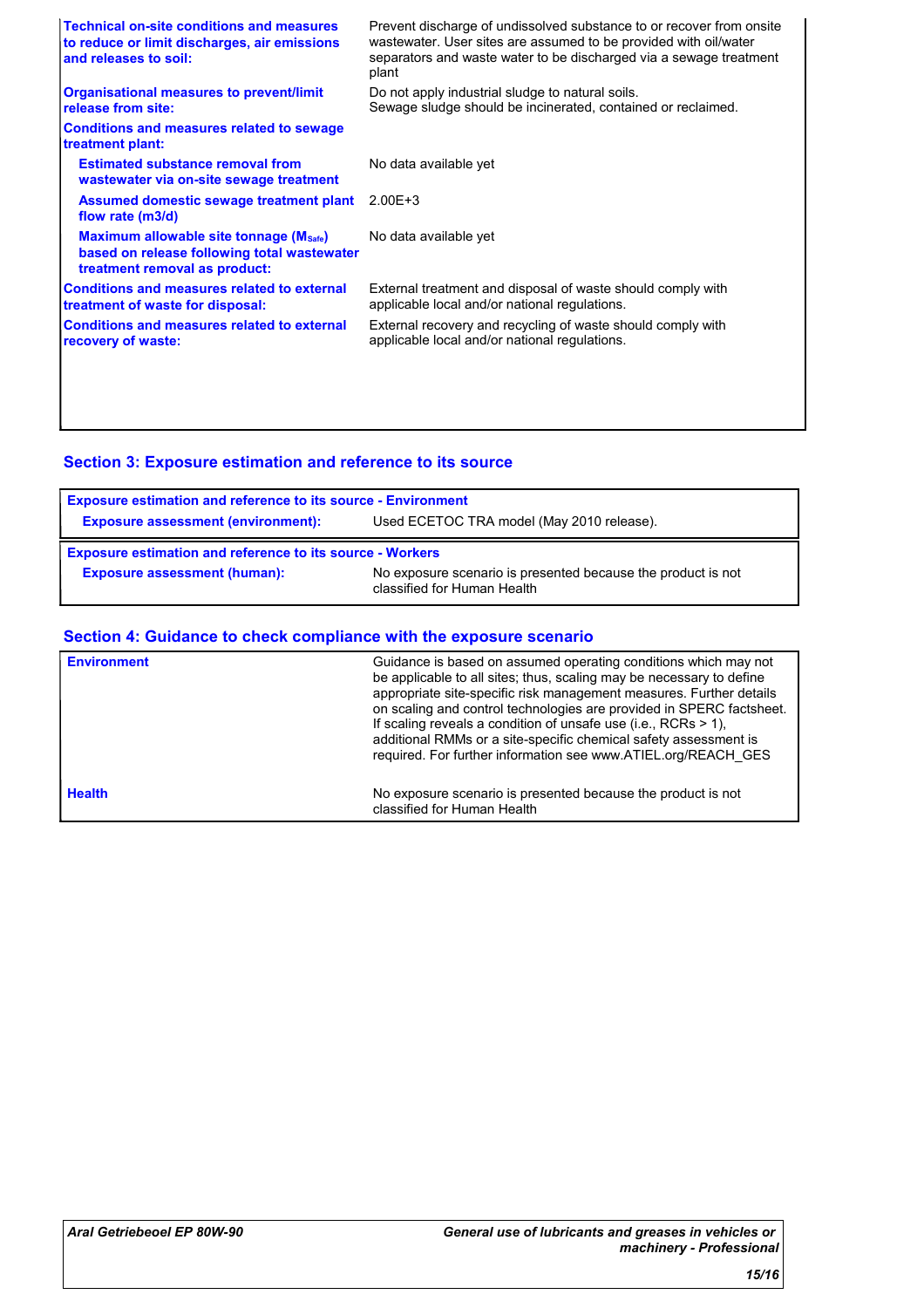| <b>Technical on-site conditions and measures</b><br>to reduce or limit discharges, air emissions<br>and releases to soil: | Prevent discharge of undissolved substance to or recover from onsite<br>wastewater. User sites are assumed to be provided with oil/water<br>separators and waste water to be discharged via a sewage treatment<br>plant |
|---------------------------------------------------------------------------------------------------------------------------|-------------------------------------------------------------------------------------------------------------------------------------------------------------------------------------------------------------------------|
| <b>Organisational measures to prevent/limit</b><br>release from site:                                                     | Do not apply industrial sludge to natural soils.<br>Sewage sludge should be incinerated, contained or reclaimed.                                                                                                        |
| <b>Conditions and measures related to sewage</b><br>treatment plant:                                                      |                                                                                                                                                                                                                         |
| <b>Estimated substance removal from</b><br>wastewater via on-site sewage treatment                                        | No data available yet                                                                                                                                                                                                   |
| Assumed domestic sewage treatment plant<br>flow rate (m3/d)                                                               | $2.00E + 3$                                                                                                                                                                                                             |
| Maximum allowable site tonnage (Msafe)<br>based on release following total wastewater<br>treatment removal as product:    | No data available yet                                                                                                                                                                                                   |
| <b>Conditions and measures related to external</b><br>treatment of waste for disposal:                                    | External treatment and disposal of waste should comply with<br>applicable local and/or national regulations.                                                                                                            |
| <b>Conditions and measures related to external</b><br>recovery of waste:                                                  | External recovery and recycling of waste should comply with<br>applicable local and/or national regulations.                                                                                                            |
|                                                                                                                           |                                                                                                                                                                                                                         |
|                                                                                                                           |                                                                                                                                                                                                                         |

### **Section 3: Exposure estimation and reference to its source**

| <b>Exposure estimation and reference to its source - Environment</b> |                                           |  |
|----------------------------------------------------------------------|-------------------------------------------|--|
| <b>Exposure assessment (environment):</b>                            | Used ECETOC TRA model (May 2010 release). |  |
| <b>Exposure estimation and reference to its source - Workers</b>     |                                           |  |
|                                                                      |                                           |  |

### **Section 4: Guidance to check compliance with the exposure scenario**

| <b>Environment</b> | Guidance is based on assumed operating conditions which may not<br>be applicable to all sites; thus, scaling may be necessary to define<br>appropriate site-specific risk management measures. Further details<br>on scaling and control technologies are provided in SPERC factsheet.<br>If scaling reveals a condition of unsafe use (i.e., RCRs $> 1$ ),<br>additional RMMs or a site-specific chemical safety assessment is<br>required. For further information see www.ATIEL.org/REACH_GES |
|--------------------|--------------------------------------------------------------------------------------------------------------------------------------------------------------------------------------------------------------------------------------------------------------------------------------------------------------------------------------------------------------------------------------------------------------------------------------------------------------------------------------------------|
| <b>Health</b>      | No exposure scenario is presented because the product is not<br>classified for Human Health                                                                                                                                                                                                                                                                                                                                                                                                      |